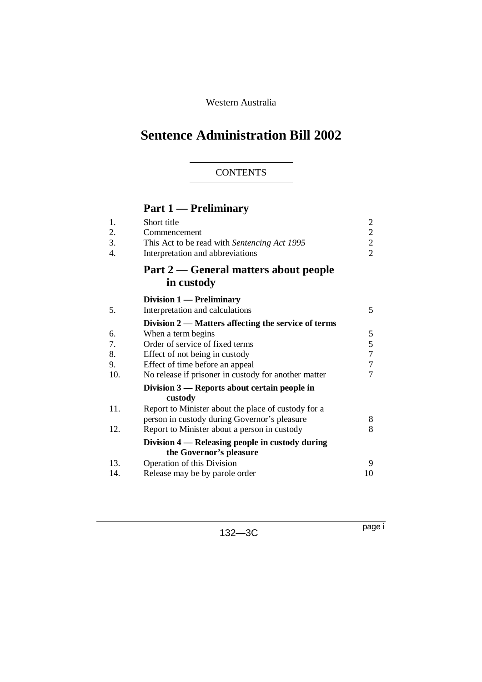### Western Australia

# **Sentence Administration Bill 2002**

### **CONTENTS**

## **Part 1 — Preliminary**

| Short title                                          | $\overline{2}$                                                        |
|------------------------------------------------------|-----------------------------------------------------------------------|
| Commencement                                         | $\overline{2}$                                                        |
|                                                      | $\overline{2}$                                                        |
| Interpretation and abbreviations                     | $\overline{2}$                                                        |
| Part 2 — General matters about people                |                                                                       |
|                                                      |                                                                       |
| Division 1 — Preliminary                             |                                                                       |
| Interpretation and calculations                      | 5                                                                     |
| Division 2 — Matters affecting the service of terms  |                                                                       |
| When a term begins                                   | 5                                                                     |
| Order of service of fixed terms                      | 5                                                                     |
| Effect of not being in custody                       | $\overline{7}$                                                        |
| Effect of time before an appeal                      | $\tau$                                                                |
| No release if prisoner in custody for another matter | $\overline{7}$                                                        |
| Division $3$ — Reports about certain people in       |                                                                       |
|                                                      |                                                                       |
| Report to Minister about the place of custody for a  |                                                                       |
| person in custody during Governor's pleasure         | 8                                                                     |
| Report to Minister about a person in custody         | 8                                                                     |
| Division 4 — Releasing people in custody during      |                                                                       |
| the Governor's pleasure                              |                                                                       |
| Operation of this Division                           | 9                                                                     |
| Release may be by parole order                       | 10                                                                    |
|                                                      | This Act to be read with Sentencing Act 1995<br>in custody<br>custody |

132—3C

page i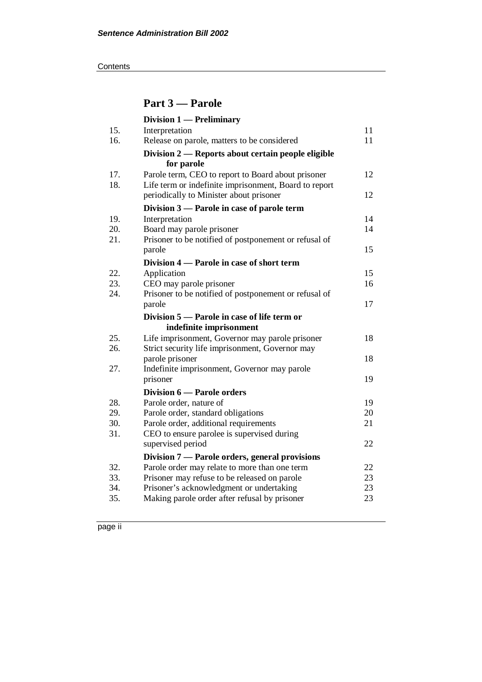**Contents** 

## **Part 3 — Parole**

|            | <b>Division 1 — Preliminary</b>                                                           |          |
|------------|-------------------------------------------------------------------------------------------|----------|
| 15.        | Interpretation                                                                            | 11       |
| 16.        | Release on parole, matters to be considered                                               | 11       |
|            | Division 2 — Reports about certain people eligible                                        |          |
|            | for parole                                                                                |          |
| 17.        | Parole term, CEO to report to Board about prisoner                                        | 12       |
| 18.        | Life term or indefinite imprisonment, Board to report                                     |          |
|            | periodically to Minister about prisoner                                                   | 12       |
|            | Division 3 — Parole in case of parole term                                                |          |
| 19.        | Interpretation                                                                            | 14       |
| 20.        | Board may parole prisoner                                                                 | 14       |
| 21.        | Prisoner to be notified of postponement or refusal of                                     |          |
|            | parole                                                                                    | 15       |
|            | Division 4 — Parole in case of short term                                                 |          |
| 22.        | Application                                                                               | 15       |
| 23.        | CEO may parole prisoner                                                                   | 16       |
| 24.        | Prisoner to be notified of postponement or refusal of                                     |          |
|            | parole                                                                                    | 17       |
|            |                                                                                           |          |
|            | Division 5 — Parole in case of life term or                                               |          |
|            | indefinite imprisonment                                                                   |          |
| 25.        | Life imprisonment, Governor may parole prisoner                                           | 18       |
| 26.        | Strict security life imprisonment, Governor may                                           |          |
|            | parole prisoner                                                                           | 18       |
| 27.        | Indefinite imprisonment, Governor may parole                                              |          |
|            | prisoner                                                                                  | 19       |
|            | Division 6 - Parole orders                                                                |          |
| 28.        | Parole order, nature of                                                                   | 19       |
| 29.        | Parole order, standard obligations                                                        | 20       |
| 30.        | Parole order, additional requirements                                                     | 21       |
| 31.        | CEO to ensure parolee is supervised during                                                |          |
|            | supervised period                                                                         | 22       |
|            | Division 7 — Parole orders, general provisions                                            |          |
| 32.        | Parole order may relate to more than one term                                             | 22       |
| 33.        | Prisoner may refuse to be released on parole                                              | 23       |
| 34.<br>35. | Prisoner's acknowledgment or undertaking<br>Making parole order after refusal by prisoner | 23<br>23 |

page ii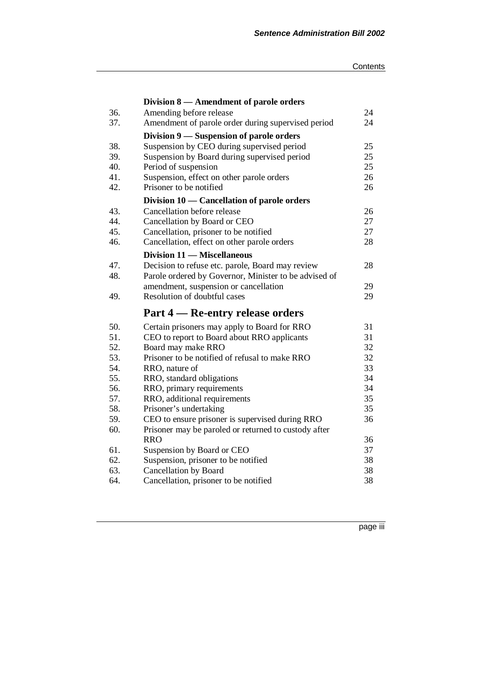|     | Division 8 – Amendment of parole orders               |    |
|-----|-------------------------------------------------------|----|
| 36. | Amending before release                               | 24 |
| 37. | Amendment of parole order during supervised period    | 24 |
|     | Division 9 — Suspension of parole orders              |    |
| 38. | Suspension by CEO during supervised period            | 25 |
| 39. | Suspension by Board during supervised period          | 25 |
| 40. | Period of suspension                                  | 25 |
| 41. | Suspension, effect on other parole orders             | 26 |
| 42. | Prisoner to be notified                               | 26 |
|     | Division 10 — Cancellation of parole orders           |    |
| 43. | Cancellation before release                           | 26 |
| 44. | Cancellation by Board or CEO                          | 27 |
| 45. | Cancellation, prisoner to be notified                 | 27 |
| 46. | Cancellation, effect on other parole orders           | 28 |
|     | Division 11 - Miscellaneous                           |    |
| 47. | Decision to refuse etc. parole, Board may review      | 28 |
| 48. | Parole ordered by Governor, Minister to be advised of |    |
|     | amendment, suspension or cancellation                 | 29 |
| 49. | Resolution of doubtful cases                          | 29 |
|     | Part 4 – Re-entry release orders                      |    |
| 50. | Certain prisoners may apply to Board for RRO          | 31 |
| 51. | CEO to report to Board about RRO applicants           | 31 |
| 52. | Board may make RRO                                    | 32 |
| 53. | Prisoner to be notified of refusal to make RRO        | 32 |
| 54. | RRO, nature of                                        | 33 |
| 55. | RRO, standard obligations                             | 34 |
| 56. | RRO, primary requirements                             | 34 |
| 57. | RRO, additional requirements                          | 35 |
| 58. | Prisoner's undertaking                                | 35 |
| 59. | CEO to ensure prisoner is supervised during RRO       | 36 |
| 60. | Prisoner may be paroled or returned to custody after  |    |
|     | <b>RRO</b>                                            | 36 |
| 61. | Suspension by Board or CEO                            | 37 |
| 62. | Suspension, prisoner to be notified                   | 38 |
| 63. | <b>Cancellation by Board</b>                          | 38 |
| 64. | Cancellation, prisoner to be notified                 | 38 |

page iii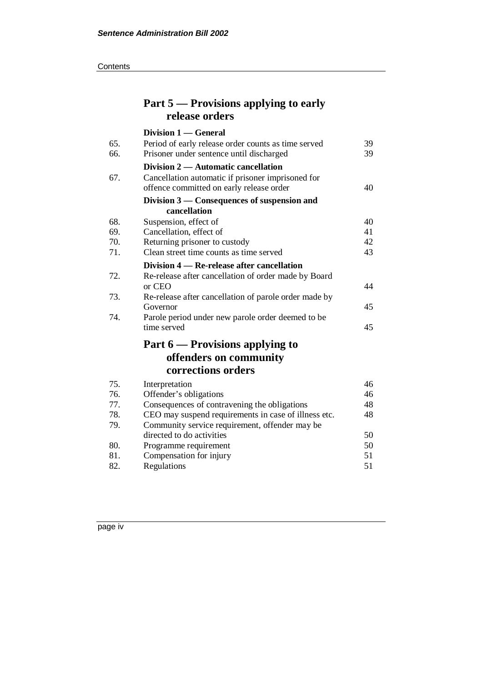| Part 5 — Provisions applying to early |  |
|---------------------------------------|--|
| release orders                        |  |

|     | Division 1 — General                                  |    |
|-----|-------------------------------------------------------|----|
| 65. | Period of early release order counts as time served   | 39 |
| 66. | Prisoner under sentence until discharged              | 39 |
|     | Division 2 — Automatic cancellation                   |    |
| 67. | Cancellation automatic if prisoner imprisoned for     |    |
|     | offence committed on early release order              | 40 |
|     | Division 3 — Consequences of suspension and           |    |
|     | cancellation                                          |    |
| 68. | Suspension, effect of                                 | 40 |
| 69. | Cancellation, effect of                               | 41 |
| 70. | Returning prisoner to custody                         | 42 |
| 71. | Clean street time counts as time served               | 43 |
|     | Division 4 — Re-release after cancellation            |    |
| 72. | Re-release after cancellation of order made by Board  |    |
|     | or CEO                                                | 44 |
| 73. | Re-release after cancellation of parole order made by |    |
|     | Governor                                              | 45 |
| 74. | Parole period under new parole order deemed to be     |    |
|     | time served                                           | 45 |
|     | Part 6 — Provisions applying to                       |    |
|     | offenders on community                                |    |
|     | corrections orders                                    |    |
| 75. | Interpretation                                        | 46 |
| 76. | Offender's obligations                                | 46 |
| 77. | Consequences of contravening the obligations          | 48 |
| 78. | CEO may suspend requirements in case of illness etc.  | 48 |
| 79. | Community service requirement, offender may be        |    |
|     | directed to do activities                             | 50 |
| 80. | Programme requirement                                 | 50 |
| 81. | Compensation for injury                               | 51 |
| 82. | Regulations                                           | 51 |

page iv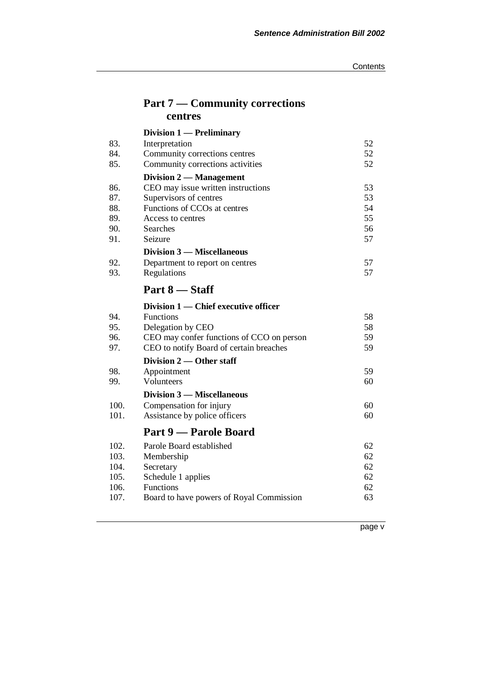## **Part 7 — Community corrections centres**

|      | Division 1 — Preliminary                  |    |
|------|-------------------------------------------|----|
| 83.  | Interpretation                            | 52 |
| 84.  | Community corrections centres             | 52 |
| 85.  | Community corrections activities          | 52 |
|      | Division 2 — Management                   |    |
| 86.  | CEO may issue written instructions        | 53 |
| 87.  | Supervisors of centres                    | 53 |
| 88.  | Functions of CCOs at centres              | 54 |
| 89.  | Access to centres                         | 55 |
| 90.  | Searches                                  | 56 |
| 91.  | Seizure                                   | 57 |
|      | <b>Division 3 – Miscellaneous</b>         |    |
| 92.  | Department to report on centres           | 57 |
| 93.  | Regulations                               | 57 |
|      | Part 8 — Staff                            |    |
|      | Division 1 — Chief executive officer      |    |
| 94.  | <b>Functions</b>                          | 58 |
| 95.  | Delegation by CEO                         | 58 |
| 96.  | CEO may confer functions of CCO on person | 59 |
| 97.  | CEO to notify Board of certain breaches   | 59 |
|      | Division 2 — Other staff                  |    |
| 98.  | Appointment                               | 59 |
| 99.  | Volunteers                                | 60 |
|      | Division 3 — Miscellaneous                |    |
| 100. | Compensation for injury                   | 60 |
| 101. | Assistance by police officers             | 60 |
|      | Part 9 — Parole Board                     |    |
| 102. | Parole Board established                  | 62 |
| 103. | Membership                                | 62 |
| 104. | Secretary                                 | 62 |
| 105. | Schedule 1 applies                        | 62 |
| 106. | Functions                                 | 62 |
| 107. | Board to have powers of Royal Commission  | 63 |
|      |                                           |    |

page v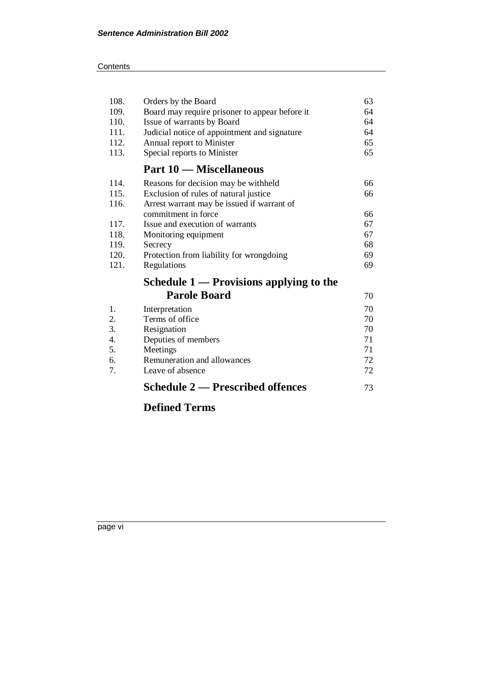#### **Contents**

| 108. | Orders by the Board                            | 63 |
|------|------------------------------------------------|----|
| 109. | Board may require prisoner to appear before it | 64 |
| 110. | Issue of warrants by Board                     | 64 |
| 111. | Judicial notice of appointment and signature   | 64 |
| 112. | Annual report to Minister                      | 65 |
| 113. | Special reports to Minister                    | 65 |
|      | <b>Part 10 – Miscellaneous</b>                 |    |
| 114. | Reasons for decision may be withheld           | 66 |
| 115. | Exclusion of rules of natural justice          | 66 |
| 116. | Arrest warrant may be issued if warrant of     |    |
|      | commitment in force                            | 66 |
| 117. | Issue and execution of warrants                | 67 |
| 118. | Monitoring equipment                           | 67 |
| 119. | Secrecy                                        | 68 |
| 120. | Protection from liability for wrongdoing       | 69 |
| 121. | Regulations                                    | 69 |
|      | Schedule $1$ — Provisions applying to the      |    |
|      | <b>Parole Board</b>                            | 70 |
| 1.   | Interpretation                                 | 70 |
| 2.   | Terms of office                                | 70 |
| 3.   | Resignation                                    | 70 |
| 4.   | Deputies of members                            | 71 |
| 5.   | Meetings                                       | 71 |
| 6.   | Remuneration and allowances                    | 72 |
| 7.   | Leave of absence                               | 72 |
|      | <b>Schedule 2 — Prescribed offences</b>        | 73 |

## **Defined Terms**

page vi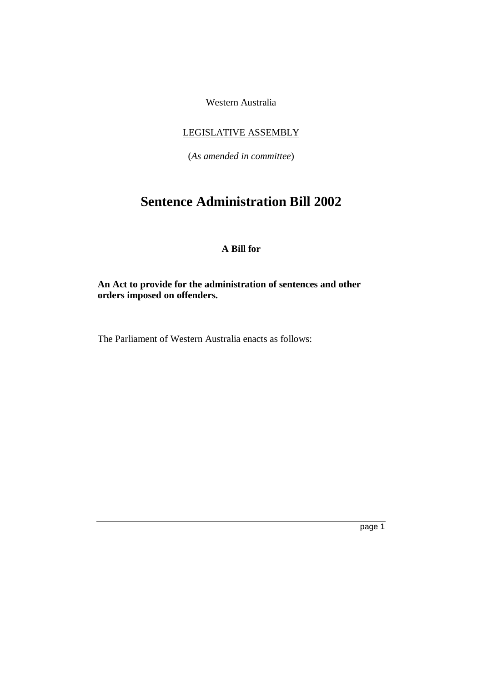Western Australia

### LEGISLATIVE ASSEMBLY

(*As amended in committee*)

## **Sentence Administration Bill 2002**

### **A Bill for**

**An Act to provide for the administration of sentences and other orders imposed on offenders.**

The Parliament of Western Australia enacts as follows: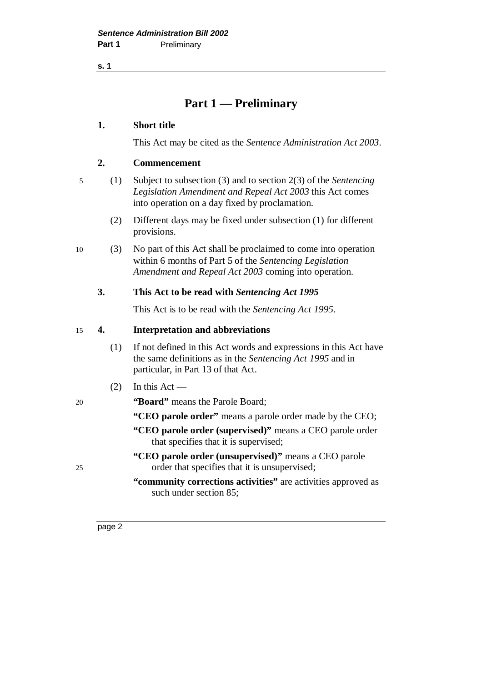**s. 1**

## **Part 1 — Preliminary**

#### **1. Short title**

This Act may be cited as the *Sentence Administration Act 2003*.

### **2. Commencement**

5 (1) Subject to subsection (3) and to section 2(3) of the *Sentencing Legislation Amendment and Repeal Act 2003* this Act comes into operation on a day fixed by proclamation.

- (2) Different days may be fixed under subsection (1) for different provisions.
- 10 (3) No part of this Act shall be proclaimed to come into operation within 6 months of Part 5 of the *Sentencing Legislation Amendment and Repeal Act 2003* coming into operation.

### **3. This Act to be read with** *Sentencing Act 1995*

This Act is to be read with the *Sentencing Act 1995*.

### 15 **4. Interpretation and abbreviations**

- (1) If not defined in this Act words and expressions in this Act have the same definitions as in the *Sentencing Act 1995* and in particular, in Part 13 of that Act.
- $(2)$  In this Act —
- 20 **"Board"** means the Parole Board;
	- **"CEO parole order"** means a parole order made by the CEO;
	- **"CEO parole order (supervised)"** means a CEO parole order that specifies that it is supervised;
- **"CEO parole order (unsupervised)"** means a CEO parole 25 order that specifies that it is unsupervised;
	- **"community corrections activities"** are activities approved as such under section 85;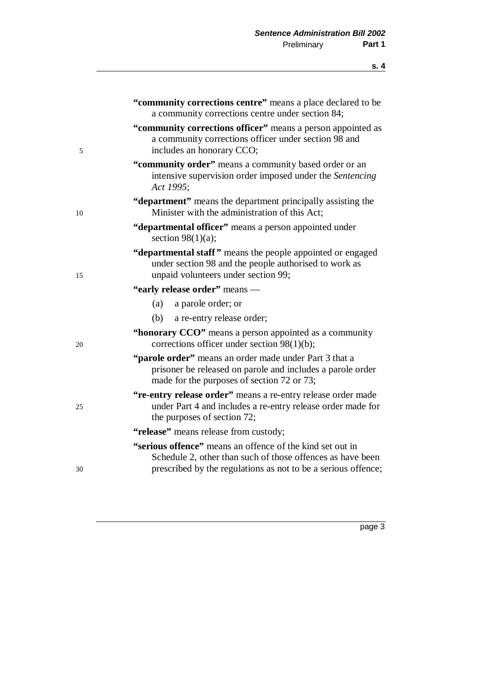|    | "community corrections centre" means a place declared to be<br>a community corrections centre under section 84;                                                    |
|----|--------------------------------------------------------------------------------------------------------------------------------------------------------------------|
| 5  | "community corrections officer" means a person appointed as<br>a community corrections officer under section 98 and<br>includes an honorary CCO;                   |
|    | "community order" means a community based order or an<br>intensive supervision order imposed under the Sentencing<br>Act 1995;                                     |
| 10 | "department" means the department principally assisting the<br>Minister with the administration of this Act;                                                       |
|    | "departmental officer" means a person appointed under<br>section $98(1)(a)$ ;                                                                                      |
| 15 | "departmental staff" means the people appointed or engaged<br>under section 98 and the people authorised to work as<br>unpaid volunteers under section 99;         |
|    | "early release order" means -                                                                                                                                      |
|    | (a)<br>a parole order; or                                                                                                                                          |
|    | (b)<br>a re-entry release order;                                                                                                                                   |
| 20 | "honorary CCO" means a person appointed as a community<br>corrections officer under section $98(1)(b)$ ;                                                           |
|    | "parole order" means an order made under Part 3 that a<br>prisoner be released on parole and includes a parole order<br>made for the purposes of section 72 or 73; |
| 25 | "re-entry release order" means a re-entry release order made<br>under Part 4 and includes a re-entry release order made for<br>the purposes of section 72;         |
|    | "release" means release from custody;                                                                                                                              |
|    | "serious offence" means an offence of the kind set out in<br>Schedule 2, other than such of those offences as have been                                            |
| 30 | prescribed by the regulations as not to be a serious offence;                                                                                                      |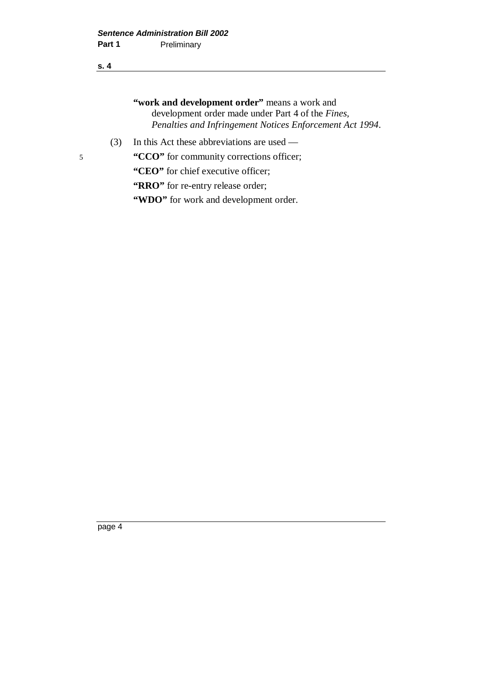#### **s. 4**

**"work and development order"** means a work and development order made under Part 4 of the *Fines, Penalties and Infringement Notices Enforcement Act 1994*.

(3) In this Act these abbreviations are used —

5 **"CCO"** for community corrections officer;

**"CEO"** for chief executive officer;

"RRO" for re-entry release order;

**"WDO"** for work and development order.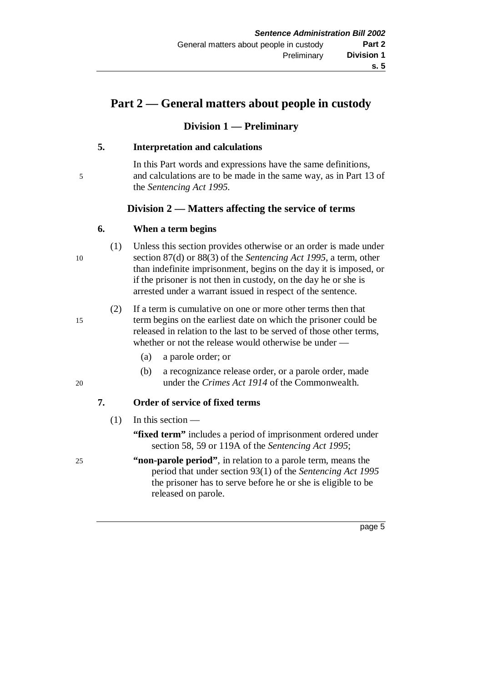## **Part 2 — General matters about people in custody**

### **Division 1 — Preliminary**

### **5. Interpretation and calculations**

In this Part words and expressions have the same definitions, 5 and calculations are to be made in the same way, as in Part 13 of the *Sentencing Act 1995*.

### **Division 2 — Matters affecting the service of terms**

### **6. When a term begins**

(1) Unless this section provides otherwise or an order is made under 10 section 87(d) or 88(3) of the *Sentencing Act 1995*, a term, other than indefinite imprisonment, begins on the day it is imposed, or if the prisoner is not then in custody, on the day he or she is arrested under a warrant issued in respect of the sentence.

(2) If a term is cumulative on one or more other terms then that 15 term begins on the earliest date on which the prisoner could be released in relation to the last to be served of those other terms, whether or not the release would otherwise be under —

- (a) a parole order; or
- (b) a recognizance release order, or a parole order, made 20 under the *Crimes Act 1914* of the Commonwealth.

### **7. Order of service of fixed terms**

### $(1)$  In this section —

- **"fixed term"** includes a period of imprisonment ordered under section 58, 59 or 119A of the *Sentencing Act 1995*;
- 25 **"non-parole period"**, in relation to a parole term, means the period that under section 93(1) of the *Sentencing Act 1995* the prisoner has to serve before he or she is eligible to be released on parole.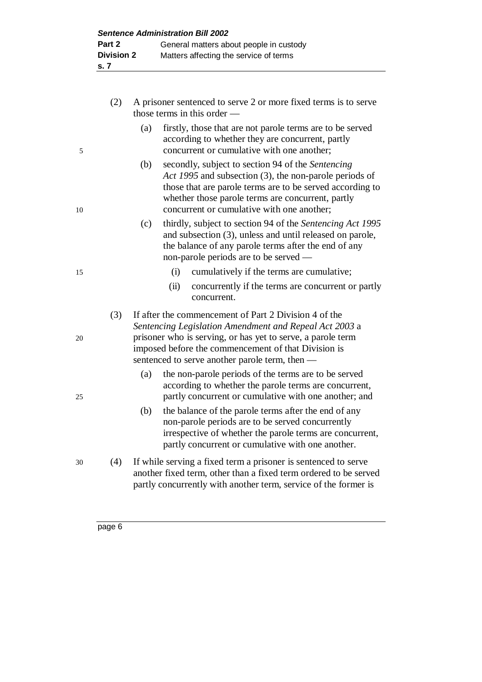|    | (2) | A prisoner sentenced to serve 2 or more fixed terms is to serve<br>those terms in this order $-$                                                                                                                                                                                        |
|----|-----|-----------------------------------------------------------------------------------------------------------------------------------------------------------------------------------------------------------------------------------------------------------------------------------------|
| 5  |     | firstly, those that are not parole terms are to be served<br>(a)<br>according to whether they are concurrent, partly<br>concurrent or cumulative with one another;                                                                                                                      |
| 10 |     | secondly, subject to section 94 of the Sentencing<br>(b)<br>Act 1995 and subsection (3), the non-parole periods of<br>those that are parole terms are to be served according to<br>whether those parole terms are concurrent, partly<br>concurrent or cumulative with one another;      |
|    |     | thirdly, subject to section 94 of the Sentencing Act 1995<br>(c)<br>and subsection (3), unless and until released on parole,<br>the balance of any parole terms after the end of any<br>non-parole periods are to be served —                                                           |
| 15 |     | cumulatively if the terms are cumulative;<br>(i)<br>concurrently if the terms are concurrent or partly<br>(ii)<br>concurrent.                                                                                                                                                           |
| 20 | (3) | If after the commencement of Part 2 Division 4 of the<br>Sentencing Legislation Amendment and Repeal Act 2003 a<br>prisoner who is serving, or has yet to serve, a parole term<br>imposed before the commencement of that Division is<br>sentenced to serve another parole term, then - |
| 25 |     | the non-parole periods of the terms are to be served<br>(a)<br>according to whether the parole terms are concurrent,<br>partly concurrent or cumulative with one another; and                                                                                                           |
|    |     | the balance of the parole terms after the end of any<br>(b)<br>non-parole periods are to be served concurrently<br>irrespective of whether the parole terms are concurrent,<br>partly concurrent or cumulative with one another.                                                        |
| 30 | (4) | If while serving a fixed term a prisoner is sentenced to serve<br>another fixed term, other than a fixed term ordered to be served                                                                                                                                                      |

partly concurrently with another term, service of the former is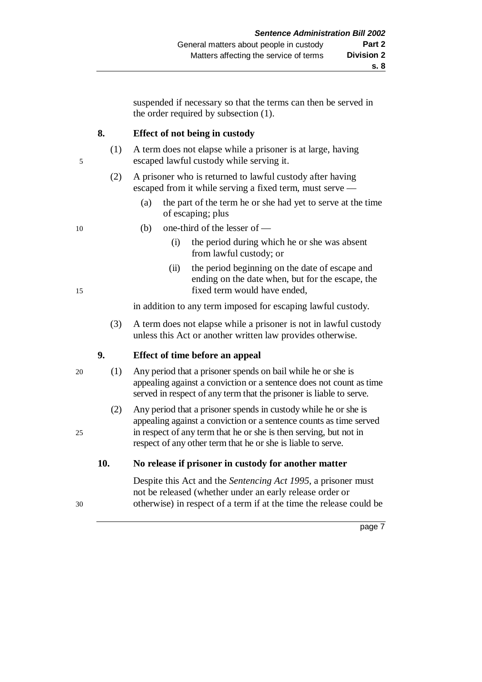suspended if necessary so that the terms can then be served in the order required by subsection (1).

### **8. Effect of not being in custody**

- (1) A term does not elapse while a prisoner is at large, having 5 escaped lawful custody while serving it.
	- (2) A prisoner who is returned to lawful custody after having escaped from it while serving a fixed term, must serve —
		- (a) the part of the term he or she had yet to serve at the time of escaping; plus
- 
- 10 (b) one-third of the lesser of
	- (i) the period during which he or she was absent from lawful custody; or
- (ii) the period beginning on the date of escape and ending on the date when, but for the escape, the 15 fixed term would have ended,

in addition to any term imposed for escaping lawful custody.

(3) A term does not elapse while a prisoner is not in lawful custody unless this Act or another written law provides otherwise.

### **9. Effect of time before an appeal**

- 20 (1) Any period that a prisoner spends on bail while he or she is appealing against a conviction or a sentence does not count as time served in respect of any term that the prisoner is liable to serve.
- (2) Any period that a prisoner spends in custody while he or she is appealing against a conviction or a sentence counts as time served 25 in respect of any term that he or she is then serving, but not in respect of any other term that he or she is liable to serve.

### **10. No release if prisoner in custody for another matter**

Despite this Act and the *Sentencing Act 1995*, a prisoner must not be released (whether under an early release order or 30 otherwise) in respect of a term if at the time the release could be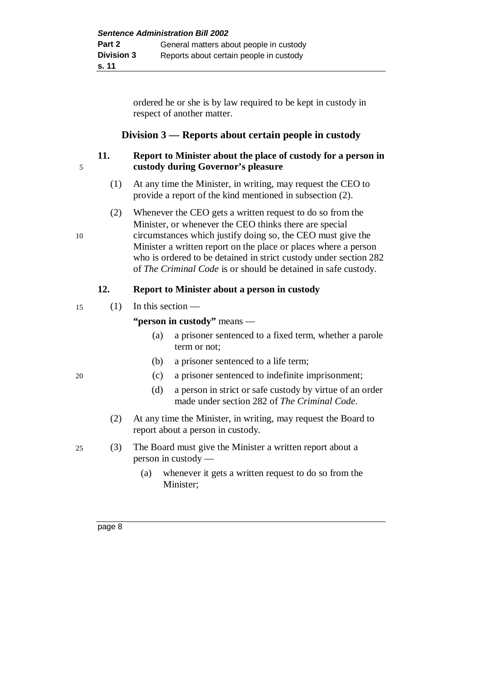ordered he or she is by law required to be kept in custody in respect of another matter.

### **Division 3 — Reports about certain people in custody**

### **11. Report to Minister about the place of custody for a person in** 5 **custody during Governor's pleasure**

- (1) At any time the Minister, in writing, may request the CEO to provide a report of the kind mentioned in subsection (2).
- (2) Whenever the CEO gets a written request to do so from the Minister, or whenever the CEO thinks there are special

10 circumstances which justify doing so, the CEO must give the Minister a written report on the place or places where a person who is ordered to be detained in strict custody under section 282 of *The Criminal Code* is or should be detained in safe custody.

#### **12. Report to Minister about a person in custody**

### 15 (1) In this section —

**"person in custody"** means —

- (a) a prisoner sentenced to a fixed term, whether a parole term or not;
- (b) a prisoner sentenced to a life term;
- 20 (c) a prisoner sentenced to indefinite imprisonment;
	- (d) a person in strict or safe custody by virtue of an order made under section 282 of *The Criminal Code*.
	- (2) At any time the Minister, in writing, may request the Board to report about a person in custody.
- 25 (3) The Board must give the Minister a written report about a person in custody —
	- (a) whenever it gets a written request to do so from the Minister;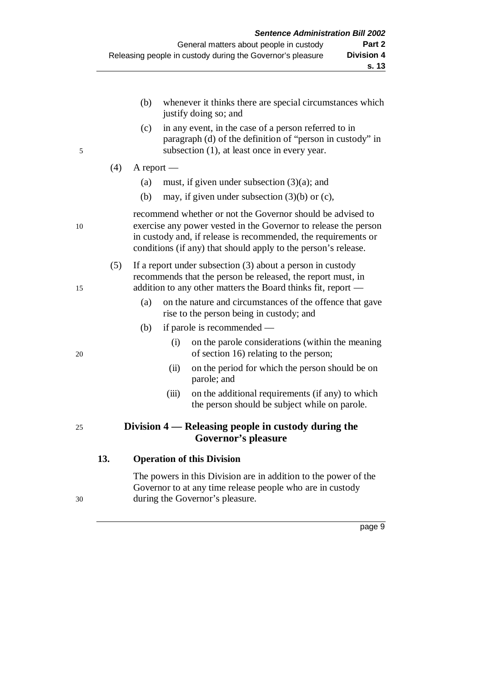|    |     | (b)          |       | whenever it thinks there are special circumstances which<br>justify doing so; and                                                                                                                                                                                 |
|----|-----|--------------|-------|-------------------------------------------------------------------------------------------------------------------------------------------------------------------------------------------------------------------------------------------------------------------|
| 5  |     | (c)          |       | in any event, in the case of a person referred to in<br>paragraph (d) of the definition of "person in custody" in<br>subsection (1), at least once in every year.                                                                                                 |
|    | (4) | $A$ report — |       |                                                                                                                                                                                                                                                                   |
|    |     | (a)          |       | must, if given under subsection $(3)(a)$ ; and                                                                                                                                                                                                                    |
|    |     | (b)          |       | may, if given under subsection $(3)(b)$ or $(c)$ ,                                                                                                                                                                                                                |
| 10 |     |              |       | recommend whether or not the Governor should be advised to<br>exercise any power vested in the Governor to release the person<br>in custody and, if release is recommended, the requirements or<br>conditions (if any) that should apply to the person's release. |
| 15 | (5) |              |       | If a report under subsection $(3)$ about a person in custody<br>recommends that the person be released, the report must, in<br>addition to any other matters the Board thinks fit, report —                                                                       |
|    |     | (a)          |       | on the nature and circumstances of the offence that gave<br>rise to the person being in custody; and                                                                                                                                                              |
|    |     | (b)          |       | if parole is recommended —                                                                                                                                                                                                                                        |
| 20 |     |              | (i)   | on the parole considerations (within the meaning<br>of section 16) relating to the person;                                                                                                                                                                        |
|    |     |              | (ii)  | on the period for which the person should be on<br>parole; and                                                                                                                                                                                                    |
|    |     |              | (iii) | on the additional requirements (if any) to which<br>the person should be subject while on parole.                                                                                                                                                                 |
| 25 |     |              |       | Division 4 — Releasing people in custody during the<br><b>Governor's pleasure</b>                                                                                                                                                                                 |
|    | 13. |              |       | <b>Operation of this Division</b>                                                                                                                                                                                                                                 |
|    |     |              |       | The company is also Point-transported and interest and also expected $f(t)$                                                                                                                                                                                       |

The powers in this Division are in addition to the power of the Governor to at any time release people who are in custody 30 during the Governor's pleasure.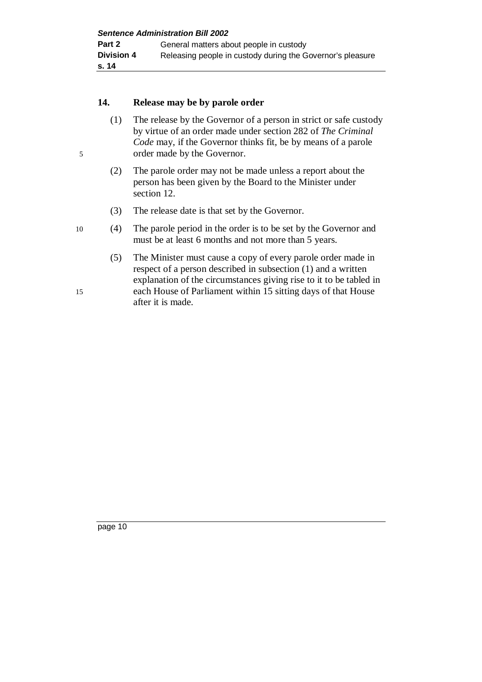#### **14. Release may be by parole order**

- (1) The release by the Governor of a person in strict or safe custody by virtue of an order made under section 282 of *The Criminal Code* may, if the Governor thinks fit, be by means of a parole 5 order made by the Governor.
	- (2) The parole order may not be made unless a report about the person has been given by the Board to the Minister under section 12.
	- (3) The release date is that set by the Governor.

### 10 (4) The parole period in the order is to be set by the Governor and must be at least 6 months and not more than 5 years.

(5) The Minister must cause a copy of every parole order made in respect of a person described in subsection (1) and a written explanation of the circumstances giving rise to it to be tabled in 15 each House of Parliament within 15 sitting days of that House after it is made.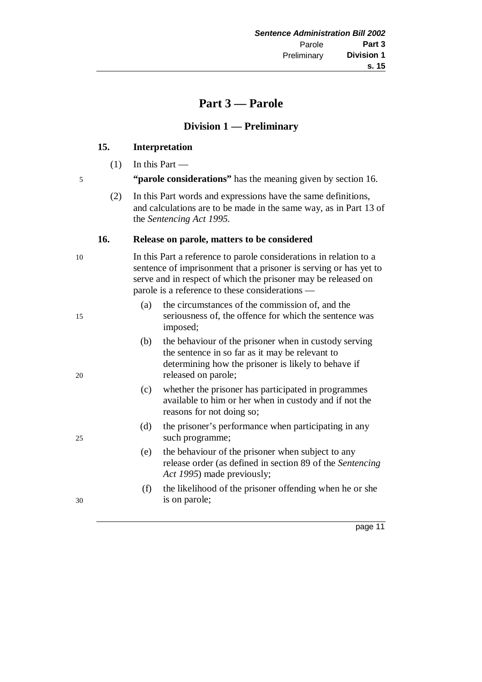### **Part 3 — Parole**

#### **Division 1 — Preliminary**

### **15. Interpretation**

 $(1)$  In this Part —

5 **"parole considerations"** has the meaning given by section 16.

(2) In this Part words and expressions have the same definitions, and calculations are to be made in the same way, as in Part 13 of the *Sentencing Act 1995*.

#### **16. Release on parole, matters to be considered**

10 In this Part a reference to parole considerations in relation to a sentence of imprisonment that a prisoner is serving or has yet to serve and in respect of which the prisoner may be released on parole is a reference to these considerations —

- (a) the circumstances of the commission of, and the 15 seriousness of, the offence for which the sentence was imposed;
- (b) the behaviour of the prisoner when in custody serving the sentence in so far as it may be relevant to determining how the prisoner is likely to behave if 20 released on parole;
	- (c) whether the prisoner has participated in programmes available to him or her when in custody and if not the reasons for not doing so;
- (d) the prisoner's performance when participating in any 25 such programme;
	- (e) the behaviour of the prisoner when subject to any release order (as defined in section 89 of the *Sentencing Act 1995*) made previously;
- (f) the likelihood of the prisoner offending when he or she 30 is on parole;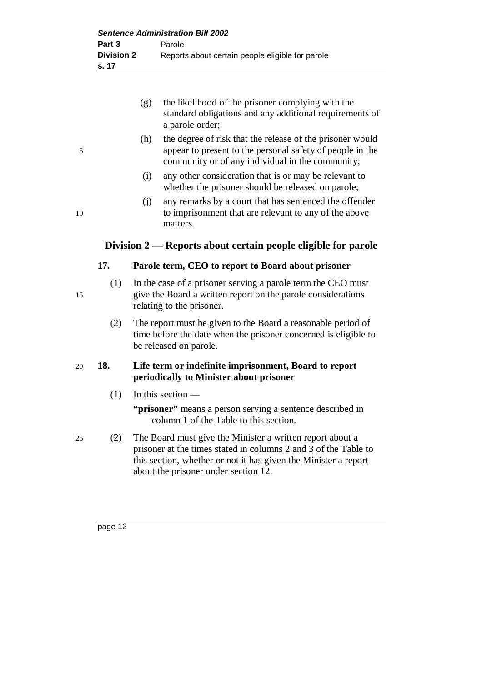- (g) the likelihood of the prisoner complying with the standard obligations and any additional requirements of a parole order;
- (h) the degree of risk that the release of the prisoner would 5 appear to present to the personal safety of people in the community or of any individual in the community;
	- (i) any other consideration that is or may be relevant to whether the prisoner should be released on parole;
- (j) any remarks by a court that has sentenced the offender 10 to imprisonment that are relevant to any of the above matters.

### **Division 2 — Reports about certain people eligible for parole**

### **17. Parole term, CEO to report to Board about prisoner**

- (1) In the case of a prisoner serving a parole term the CEO must 15 give the Board a written report on the parole considerations relating to the prisoner.
	- (2) The report must be given to the Board a reasonable period of time before the date when the prisoner concerned is eligible to be released on parole.

### 20 **18. Life term or indefinite imprisonment, Board to report periodically to Minister about prisoner**

(1) In this section —

**"prisoner"** means a person serving a sentence described in column 1 of the Table to this section.

25 (2) The Board must give the Minister a written report about a prisoner at the times stated in columns 2 and 3 of the Table to this section, whether or not it has given the Minister a report about the prisoner under section 12.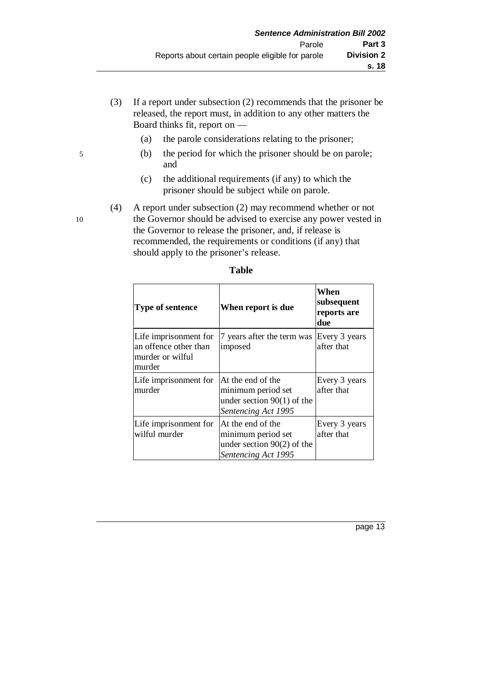- (3) If a report under subsection (2) recommends that the prisoner be released, the report must, in addition to any other matters the Board thinks fit, report on —
	- (a) the parole considerations relating to the prisoner;
- 5 (b) the period for which the prisoner should be on parole; and
	- (c) the additional requirements (if any) to which the prisoner should be subject while on parole.
- (4) A report under subsection (2) may recommend whether or not 10 the Governor should be advised to exercise any power vested in the Governor to release the prisoner, and, if release is recommended, the requirements or conditions (if any) that should apply to the prisoner's release.

| <b>Type of sentence</b>                                                      | When report is due                                                                             | When<br>subsequent<br>reports are<br>due |
|------------------------------------------------------------------------------|------------------------------------------------------------------------------------------------|------------------------------------------|
| Life imprisonment for<br>an offence other than<br>murder or wilful<br>murder | 7 years after the term was<br>imposed                                                          | Every 3 years<br>after that              |
| Life imprisonment for<br>murder                                              | At the end of the<br>minimum period set<br>under section $90(1)$ of the<br>Sentencing Act 1995 | Every 3 years<br>after that              |
| Life imprisonment for<br>wilful murder                                       | At the end of the<br>minimum period set<br>under section $90(2)$ of the<br>Sentencing Act 1995 | Every 3 years<br>after that              |

#### **Table**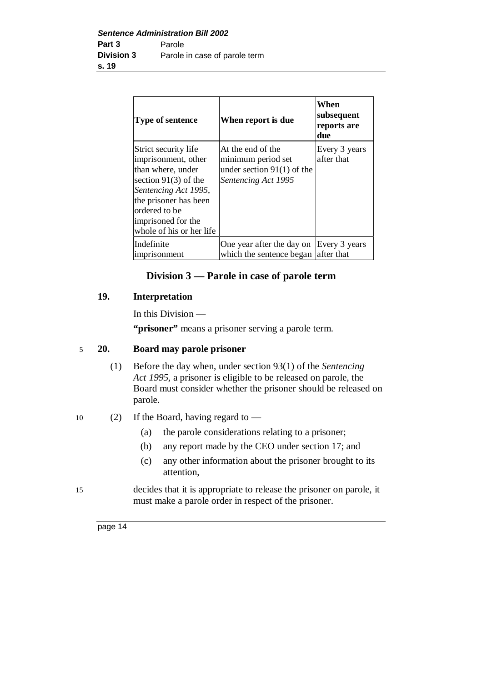| Type of sentence                                                                                                                                                                                               | When report is due                                                                             | When<br>subsequent<br>reports are<br>due |
|----------------------------------------------------------------------------------------------------------------------------------------------------------------------------------------------------------------|------------------------------------------------------------------------------------------------|------------------------------------------|
| Strict security life<br>imprisonment, other<br>than where, under<br>section $91(3)$ of the<br>Sentencing Act 1995,<br>the prisoner has been<br>ordered to be<br>imprisoned for the<br>whole of his or her life | At the end of the<br>minimum period set<br>under section $91(1)$ of the<br>Sentencing Act 1995 | Every 3 years<br>after that              |
| Indefinite<br><i>imprisonment</i>                                                                                                                                                                              | One year after the day on<br>which the sentence began after that                               | Every 3 years                            |

### **Division 3 — Parole in case of parole term**

### **19. Interpretation**

In this Division —

"**prisoner**" means a prisoner serving a parole term.

#### 5 **20. Board may parole prisoner**

- (1) Before the day when, under section 93(1) of the *Sentencing Act 1995*, a prisoner is eligible to be released on parole, the Board must consider whether the prisoner should be released on parole.
- 10 (2) If the Board, having regard to  $-$ 
	- (a) the parole considerations relating to a prisoner;
	- (b) any report made by the CEO under section 17; and
	- (c) any other information about the prisoner brought to its attention,
- 15 decides that it is appropriate to release the prisoner on parole, it must make a parole order in respect of the prisoner.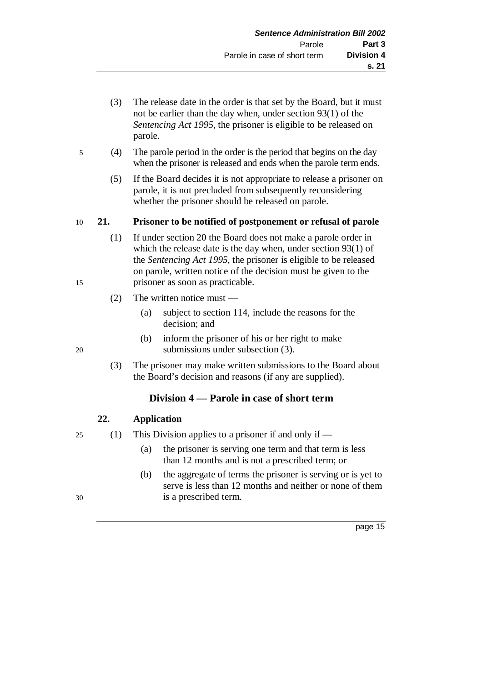- (3) The release date in the order is that set by the Board, but it must not be earlier than the day when, under section 93(1) of the *Sentencing Act 1995*, the prisoner is eligible to be released on parole.
- 5 (4) The parole period in the order is the period that begins on the day when the prisoner is released and ends when the parole term ends.
	- (5) If the Board decides it is not appropriate to release a prisoner on parole, it is not precluded from subsequently reconsidering whether the prisoner should be released on parole.

### 10 **21. Prisoner to be notified of postponement or refusal of parole**

- (1) If under section 20 the Board does not make a parole order in which the release date is the day when, under section 93(1) of the *Sentencing Act 1995*, the prisoner is eligible to be released on parole, written notice of the decision must be given to the 15 prisoner as soon as practicable.
	- (2) The written notice must
		- (a) subject to section 114, include the reasons for the decision; and
- (b) inform the prisoner of his or her right to make 20 submissions under subsection (3).
	- (3) The prisoner may make written submissions to the Board about the Board's decision and reasons (if any are supplied).

### **Division 4 — Parole in case of short term**

### **22. Application**

25 (1) This Division applies to a prisoner if and only if —

- (a) the prisoner is serving one term and that term is less than 12 months and is not a prescribed term; or
- (b) the aggregate of terms the prisoner is serving or is yet to serve is less than 12 months and neither or none of them 30 is a prescribed term.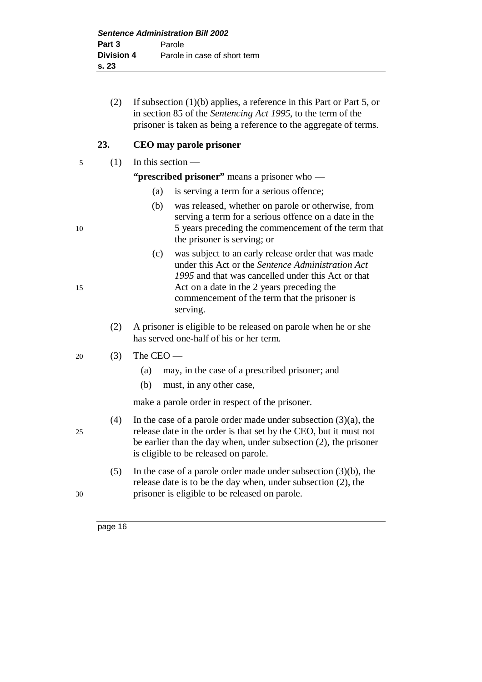(2) If subsection (1)(b) applies, a reference in this Part or Part 5, or in section 85 of the *Sentencing Act 1995*, to the term of the prisoner is taken as being a reference to the aggregate of terms.

### **23. CEO may parole prisoner**

5 (1) In this section —

### **"prescribed prisoner"** means a prisoner who —

- (a) is serving a term for a serious offence;
- (b) was released, whether on parole or otherwise, from serving a term for a serious offence on a date in the 5 years preceding the commencement of the term that the prisoner is serving; or
- (c) was subject to an early release order that was made under this Act or the *Sentence Administration Act 1995* and that was cancelled under this Act or that 15 Act on a date in the 2 years preceding the commencement of the term that the prisoner is serving.
	- (2) A prisoner is eligible to be released on parole when he or she has served one-half of his or her term.

### 20 (3) The CEO —

- (a) may, in the case of a prescribed prisoner; and
- (b) must, in any other case,

make a parole order in respect of the prisoner.

- (4) In the case of a parole order made under subsection (3)(a), the 25 release date in the order is that set by the CEO, but it must not be earlier than the day when, under subsection (2), the prisoner is eligible to be released on parole.
- (5) In the case of a parole order made under subsection (3)(b), the release date is to be the day when, under subsection (2), the 30 prisoner is eligible to be released on parole.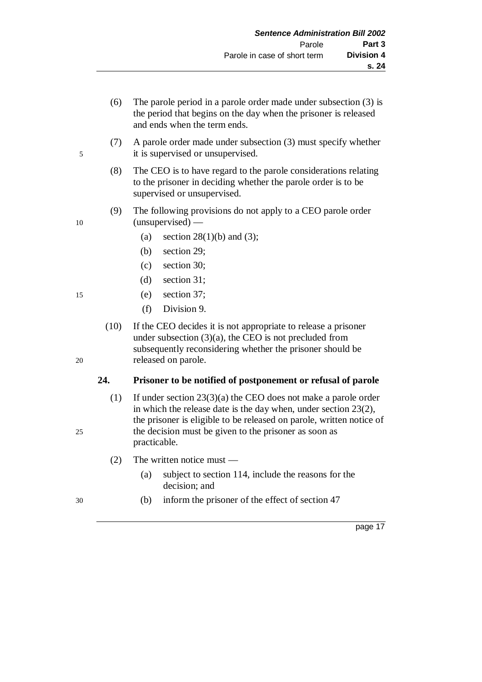- (6) The parole period in a parole order made under subsection (3) is the period that begins on the day when the prisoner is released and ends when the term ends.
- (7) A parole order made under subsection (3) must specify whether 5 it is supervised or unsupervised.
	- (8) The CEO is to have regard to the parole considerations relating to the prisoner in deciding whether the parole order is to be supervised or unsupervised.
- (9) The following provisions do not apply to a CEO parole order 10 (unsupervised) —
	- (a) section  $28(1)(b)$  and (3);
	- (b) section 29;
	- (c) section 30;
	- (d) section 31;
- 15 (e) section 37;
	- (f) Division 9.
- (10) If the CEO decides it is not appropriate to release a prisoner under subsection  $(3)(a)$ , the CEO is not precluded from subsequently reconsidering whether the prisoner should be 20 released on parole.

### **24. Prisoner to be notified of postponement or refusal of parole**

- (1) If under section 23(3)(a) the CEO does not make a parole order in which the release date is the day when, under section 23(2), the prisoner is eligible to be released on parole, written notice of 25 the decision must be given to the prisoner as soon as practicable.
	- (2) The written notice must
		- (a) subject to section 114, include the reasons for the decision; and
- 30 (b) inform the prisoner of the effect of section 47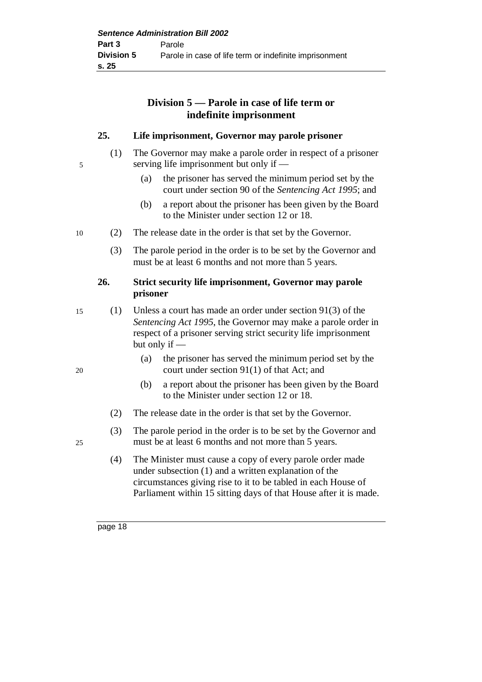### **Division 5 — Parole in case of life term or indefinite imprisonment**

### **25. Life imprisonment, Governor may parole prisoner**

- (1) The Governor may make a parole order in respect of a prisoner 5 serving life imprisonment but only if —
	- (a) the prisoner has served the minimum period set by the court under section 90 of the *Sentencing Act 1995*; and
	- (b) a report about the prisoner has been given by the Board to the Minister under section 12 or 18.
- 10 (2) The release date in the order is that set by the Governor.
	- (3) The parole period in the order is to be set by the Governor and must be at least 6 months and not more than 5 years.

### **26. Strict security life imprisonment, Governor may parole prisoner**

- 15 (1) Unless a court has made an order under section 91(3) of the *Sentencing Act 1995*, the Governor may make a parole order in respect of a prisoner serving strict security life imprisonment but only if —
- (a) the prisoner has served the minimum period set by the 20 court under section 91(1) of that Act; and
	- (b) a report about the prisoner has been given by the Board to the Minister under section 12 or 18.
	- (2) The release date in the order is that set by the Governor.
- (3) The parole period in the order is to be set by the Governor and 25 must be at least 6 months and not more than 5 years.
	- (4) The Minister must cause a copy of every parole order made under subsection (1) and a written explanation of the circumstances giving rise to it to be tabled in each House of Parliament within 15 sitting days of that House after it is made.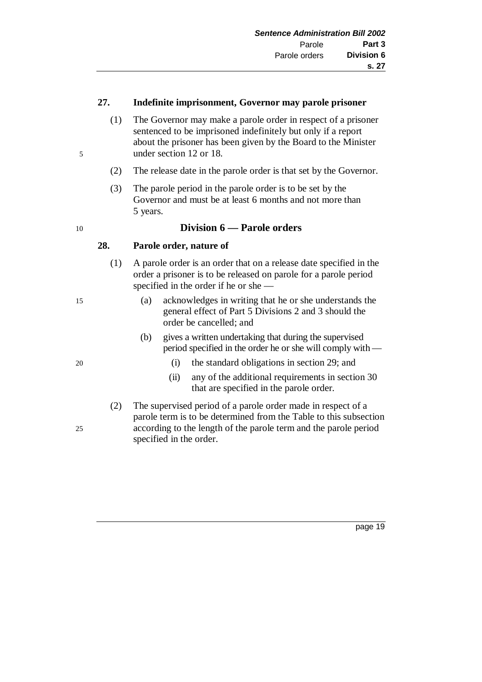#### **27. Indefinite imprisonment, Governor may parole prisoner**

- (1) The Governor may make a parole order in respect of a prisoner sentenced to be imprisoned indefinitely but only if a report about the prisoner has been given by the Board to the Minister 5 under section 12 or 18.
	- (2) The release date in the parole order is that set by the Governor.
	- (3) The parole period in the parole order is to be set by the Governor and must be at least 6 months and not more than 5 years.

### 10 **Division 6 — Parole orders**

### **28. Parole order, nature of**

- (1) A parole order is an order that on a release date specified in the order a prisoner is to be released on parole for a parole period specified in the order if he or she —
- 15 (a) acknowledges in writing that he or she understands the general effect of Part 5 Divisions 2 and 3 should the order be cancelled; and
	- (b) gives a written undertaking that during the supervised period specified in the order he or she will comply with —
- 20 (i) the standard obligations in section 29; and
	- (ii) any of the additional requirements in section 30 that are specified in the parole order.
- (2) The supervised period of a parole order made in respect of a parole term is to be determined from the Table to this subsection 25 according to the length of the parole term and the parole period specified in the order.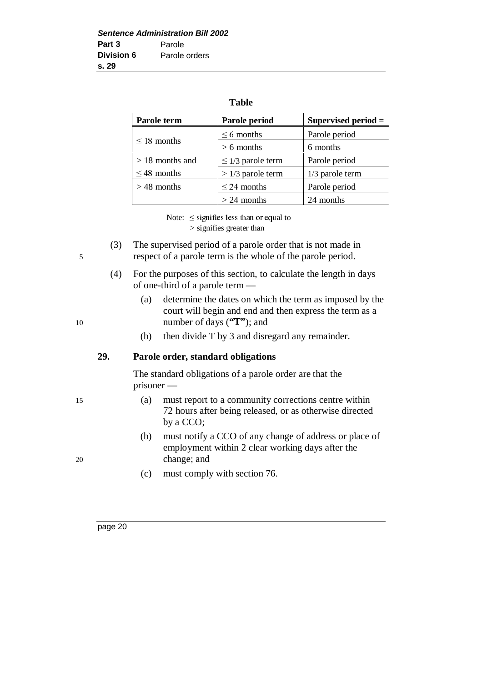#### **Table**

| Parole term       | Parole period          | Supervised period $=$ |
|-------------------|------------------------|-----------------------|
| $\leq$ 18 months  | $\leq 6$ months        | Parole period         |
|                   | $> 6$ months           | 6 months              |
| $> 18$ months and | $\leq$ 1/3 parole term | Parole period         |
| $\leq$ 48 months  | $> 1/3$ parole term    | 1/3 parole term       |
| $>$ 48 months     | $\leq$ 24 months       | Parole period         |
|                   | $> 24$ months          | 24 months             |

Note:  $\leq$  signifies less than or equal to > signifies greater than

- (3) The supervised period of a parole order that is not made in 5 respect of a parole term is the whole of the parole period.
	- (4) For the purposes of this section, to calculate the length in days of one-third of a parole term —
- (a) determine the dates on which the term as imposed by the court will begin and end and then express the term as a 10 number of days (**"T"**); and
	- (b) then divide T by 3 and disregard any remainder.

### **29. Parole order, standard obligations**

The standard obligations of a parole order are that the prisoner —

- 15 (a) must report to a community corrections centre within 72 hours after being released, or as otherwise directed by a CCO;
- (b) must notify a CCO of any change of address or place of employment within 2 clear working days after the 20 change; and
	- (c) must comply with section 76.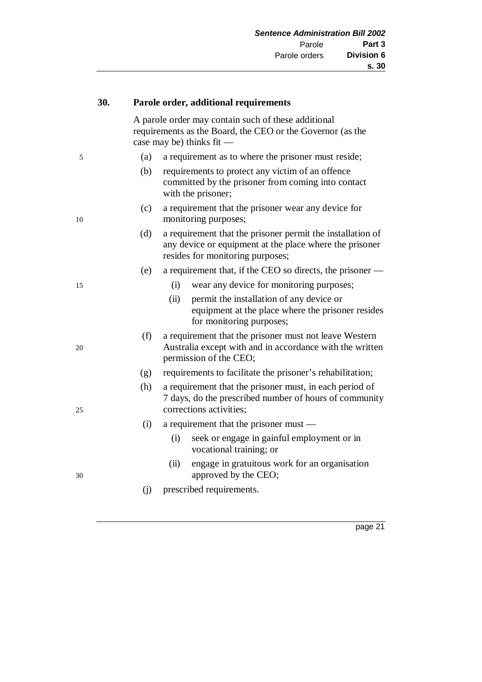| 30. |  | Parole order, additional requirements                                                                                                          |                                                                                                                                                           |  |
|-----|--|------------------------------------------------------------------------------------------------------------------------------------------------|-----------------------------------------------------------------------------------------------------------------------------------------------------------|--|
|     |  | A parole order may contain such of these additional<br>requirements as the Board, the CEO or the Governor (as the<br>case may be) thinks fit — |                                                                                                                                                           |  |
| 5   |  | (a)                                                                                                                                            | a requirement as to where the prisoner must reside;                                                                                                       |  |
|     |  | (b)                                                                                                                                            | requirements to protect any victim of an offence<br>committed by the prisoner from coming into contact<br>with the prisoner;                              |  |
| 10  |  | (c)                                                                                                                                            | a requirement that the prisoner wear any device for<br>monitoring purposes;                                                                               |  |
|     |  | (d)                                                                                                                                            | a requirement that the prisoner permit the installation of<br>any device or equipment at the place where the prisoner<br>resides for monitoring purposes; |  |
|     |  | (e)                                                                                                                                            | a requirement that, if the CEO so directs, the prisoner -                                                                                                 |  |
| 15  |  |                                                                                                                                                | wear any device for monitoring purposes;<br>(i)                                                                                                           |  |
|     |  |                                                                                                                                                | permit the installation of any device or<br>(ii)<br>equipment at the place where the prisoner resides<br>for monitoring purposes;                         |  |
| 20  |  | (f)                                                                                                                                            | a requirement that the prisoner must not leave Western<br>Australia except with and in accordance with the written<br>permission of the CEO;              |  |
|     |  | (g)                                                                                                                                            | requirements to facilitate the prisoner's rehabilitation;                                                                                                 |  |
| 25  |  | (h)                                                                                                                                            | a requirement that the prisoner must, in each period of<br>7 days, do the prescribed number of hours of community<br>corrections activities;              |  |
|     |  | (i)                                                                                                                                            | a requirement that the prisoner must —                                                                                                                    |  |
|     |  |                                                                                                                                                | seek or engage in gainful employment or in<br>(i)<br>vocational training; or                                                                              |  |
| 30  |  |                                                                                                                                                | engage in gratuitous work for an organisation<br>(ii)<br>approved by the CEO;                                                                             |  |
|     |  | (j)                                                                                                                                            | prescribed requirements.                                                                                                                                  |  |
|     |  |                                                                                                                                                |                                                                                                                                                           |  |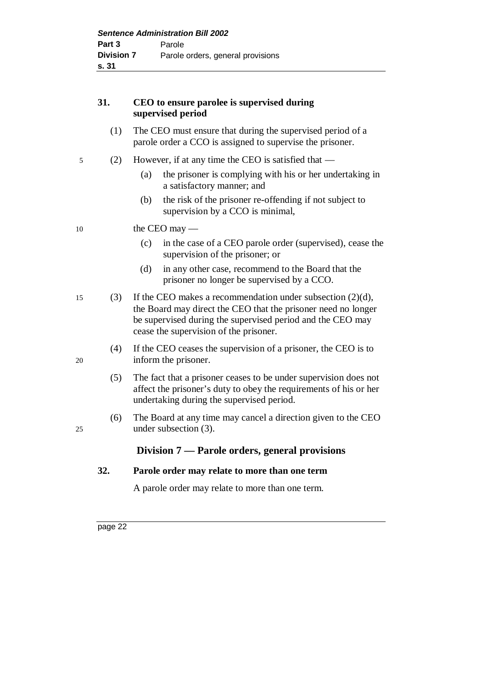### **31. CEO to ensure parolee is supervised during supervised period**

- (1) The CEO must ensure that during the supervised period of a parole order a CCO is assigned to supervise the prisoner.
- 5 (2) However, if at any time the CEO is satisfied that
	- (a) the prisoner is complying with his or her undertaking in a satisfactory manner; and
	- (b) the risk of the prisoner re-offending if not subject to supervision by a CCO is minimal,

10 the CEO may —

- (c) in the case of a CEO parole order (supervised), cease the supervision of the prisoner; or
- (d) in any other case, recommend to the Board that the prisoner no longer be supervised by a CCO.
- 15 (3) If the CEO makes a recommendation under subsection (2)(d), the Board may direct the CEO that the prisoner need no longer be supervised during the supervised period and the CEO may cease the supervision of the prisoner.
- (4) If the CEO ceases the supervision of a prisoner, the CEO is to 20 inform the prisoner.
	- (5) The fact that a prisoner ceases to be under supervision does not affect the prisoner's duty to obey the requirements of his or her undertaking during the supervised period.
- (6) The Board at any time may cancel a direction given to the CEO 25 under subsection (3).

### **Division 7 — Parole orders, general provisions**

### **32. Parole order may relate to more than one term**

A parole order may relate to more than one term.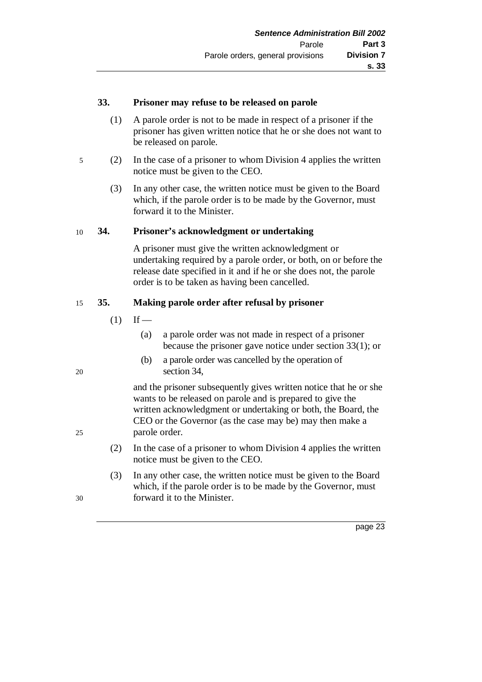### **33. Prisoner may refuse to be released on parole**

- (1) A parole order is not to be made in respect of a prisoner if the prisoner has given written notice that he or she does not want to be released on parole.
- 5 (2) In the case of a prisoner to whom Division 4 applies the written notice must be given to the CEO.
	- (3) In any other case, the written notice must be given to the Board which, if the parole order is to be made by the Governor, must forward it to the Minister.

### 10 **34. Prisoner's acknowledgment or undertaking**

A prisoner must give the written acknowledgment or undertaking required by a parole order, or both, on or before the release date specified in it and if he or she does not, the parole order is to be taken as having been cancelled.

### 15 **35. Making parole order after refusal by prisoner**

- $(1)$  If
	- (a) a parole order was not made in respect of a prisoner because the prisoner gave notice under section 33(1); or
- (b) a parole order was cancelled by the operation of 20 section 34,

and the prisoner subsequently gives written notice that he or she wants to be released on parole and is prepared to give the written acknowledgment or undertaking or both, the Board, the CEO or the Governor (as the case may be) may then make a 25 parole order.

- (2) In the case of a prisoner to whom Division 4 applies the written notice must be given to the CEO.
- (3) In any other case, the written notice must be given to the Board which, if the parole order is to be made by the Governor, must 30 forward it to the Minister.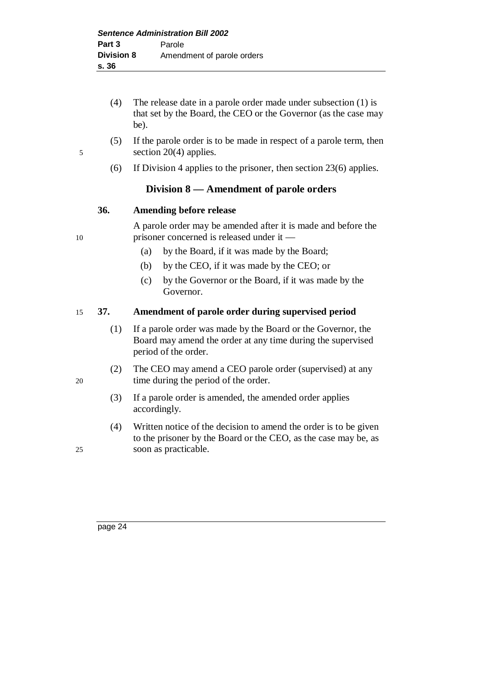- (4) The release date in a parole order made under subsection (1) is that set by the Board, the CEO or the Governor (as the case may be).
- 
- (5) If the parole order is to be made in respect of a parole term, then 5 section 20(4) applies.
	- (6) If Division 4 applies to the prisoner, then section 23(6) applies.

### **Division 8 — Amendment of parole orders**

### **36. Amending before release**

A parole order may be amended after it is made and before the 10 prisoner concerned is released under it —

- (a) by the Board, if it was made by the Board;
- (b) by the CEO, if it was made by the CEO; or
- (c) by the Governor or the Board, if it was made by the Governor.

### 15 **37. Amendment of parole order during supervised period**

- (1) If a parole order was made by the Board or the Governor, the Board may amend the order at any time during the supervised period of the order.
- (2) The CEO may amend a CEO parole order (supervised) at any 20 time during the period of the order.
	- (3) If a parole order is amended, the amended order applies accordingly.
- (4) Written notice of the decision to amend the order is to be given to the prisoner by the Board or the CEO, as the case may be, as 25 soon as practicable.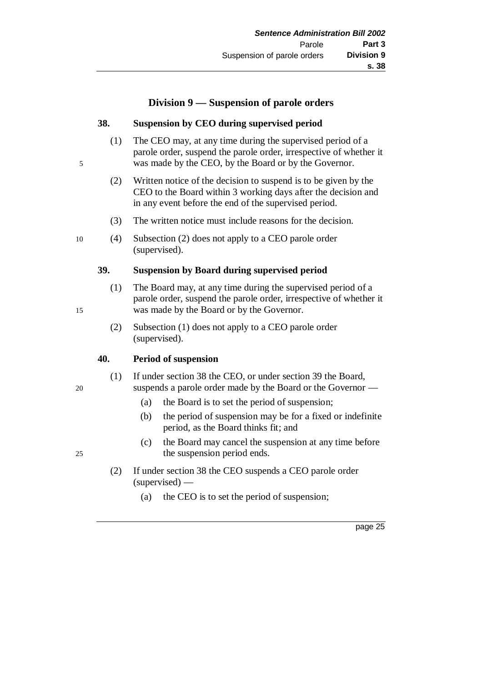### **Division 9 — Suspension of parole orders**

### **38. Suspension by CEO during supervised period**

- (1) The CEO may, at any time during the supervised period of a parole order, suspend the parole order, irrespective of whether it 5 was made by the CEO, by the Board or by the Governor.
	- (2) Written notice of the decision to suspend is to be given by the CEO to the Board within 3 working days after the decision and in any event before the end of the supervised period.
	- (3) The written notice must include reasons for the decision.
- 10 (4) Subsection (2) does not apply to a CEO parole order (supervised).

### **39. Suspension by Board during supervised period**

- (1) The Board may, at any time during the supervised period of a parole order, suspend the parole order, irrespective of whether it 15 was made by the Board or by the Governor.
	- (2) Subsection (1) does not apply to a CEO parole order (supervised).

### **40. Period of suspension**

- (1) If under section 38 the CEO, or under section 39 the Board, 20 suspends a parole order made by the Board or the Governor —
	- (a) the Board is to set the period of suspension;
	- (b) the period of suspension may be for a fixed or indefinite period, as the Board thinks fit; and
- (c) the Board may cancel the suspension at any time before 25 the suspension period ends.
	- (2) If under section 38 the CEO suspends a CEO parole order (supervised) —
		- (a) the CEO is to set the period of suspension;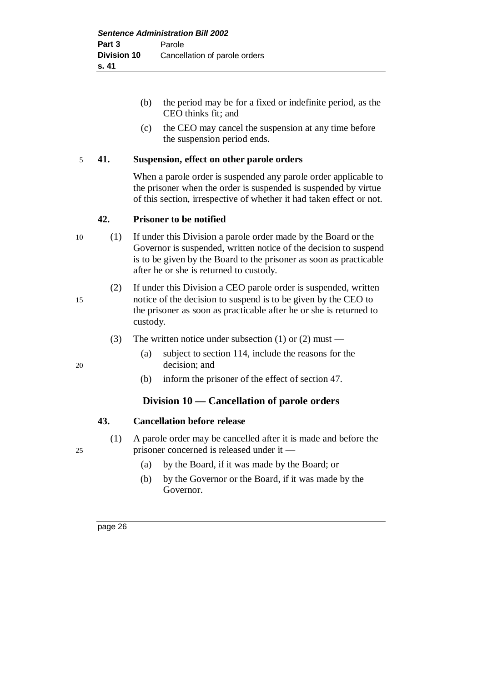- (b) the period may be for a fixed or indefinite period, as the CEO thinks fit; and
- (c) the CEO may cancel the suspension at any time before the suspension period ends.

#### 5 **41. Suspension, effect on other parole orders**

When a parole order is suspended any parole order applicable to the prisoner when the order is suspended is suspended by virtue of this section, irrespective of whether it had taken effect or not.

#### **42. Prisoner to be notified**

- 10 (1) If under this Division a parole order made by the Board or the Governor is suspended, written notice of the decision to suspend is to be given by the Board to the prisoner as soon as practicable after he or she is returned to custody.
- (2) If under this Division a CEO parole order is suspended, written 15 notice of the decision to suspend is to be given by the CEO to the prisoner as soon as practicable after he or she is returned to custody.
	- (3) The written notice under subsection (1) or (2) must —
- (a) subject to section 114, include the reasons for the 20 decision; and
	- (b) inform the prisoner of the effect of section 47.

### **Division 10 — Cancellation of parole orders**

### **43. Cancellation before release**

- (1) A parole order may be cancelled after it is made and before the 25 prisoner concerned is released under it —
	- (a) by the Board, if it was made by the Board; or
	- (b) by the Governor or the Board, if it was made by the Governor.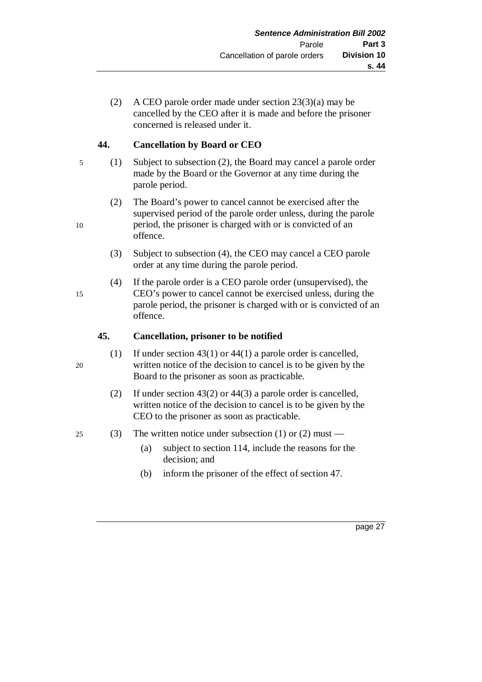(2) A CEO parole order made under section 23(3)(a) may be cancelled by the CEO after it is made and before the prisoner concerned is released under it.

### **44. Cancellation by Board or CEO**

- 5 (1) Subject to subsection (2), the Board may cancel a parole order made by the Board or the Governor at any time during the parole period.
- (2) The Board's power to cancel cannot be exercised after the supervised period of the parole order unless, during the parole 10 period, the prisoner is charged with or is convicted of an offence.
	- (3) Subject to subsection (4), the CEO may cancel a CEO parole order at any time during the parole period.
- (4) If the parole order is a CEO parole order (unsupervised), the 15 CEO's power to cancel cannot be exercised unless, during the parole period, the prisoner is charged with or is convicted of an offence.

### **45. Cancellation, prisoner to be notified**

- (1) If under section 43(1) or 44(1) a parole order is cancelled, 20 written notice of the decision to cancel is to be given by the Board to the prisoner as soon as practicable.
	- (2) If under section 43(2) or 44(3) a parole order is cancelled, written notice of the decision to cancel is to be given by the CEO to the prisoner as soon as practicable.

### 25 (3) The written notice under subsection (1) or (2) must —

- (a) subject to section 114, include the reasons for the decision; and
- (b) inform the prisoner of the effect of section 47.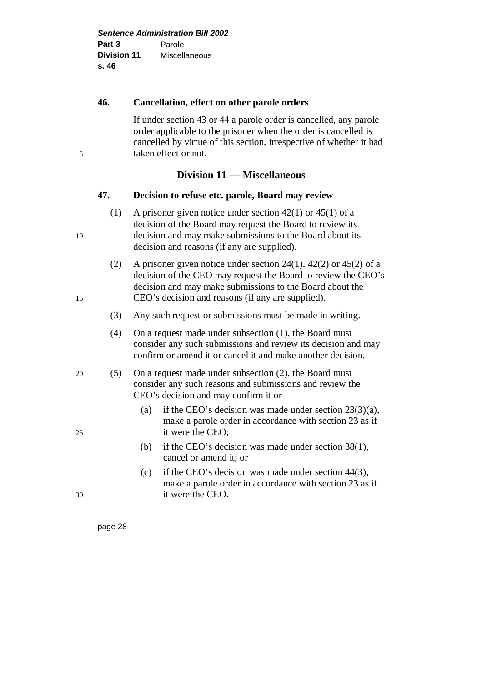# **46. Cancellation, effect on other parole orders** If under section 43 or 44 a parole order is cancelled, any parole

order applicable to the prisoner when the order is cancelled is cancelled by virtue of this section, irrespective of whether it had 5 taken effect or not.

### **Division 11 — Miscellaneous**

### **47. Decision to refuse etc. parole, Board may review**

- (1) A prisoner given notice under section 42(1) or 45(1) of a decision of the Board may request the Board to review its 10 decision and may make submissions to the Board about its decision and reasons (if any are supplied).
- (2) A prisoner given notice under section 24(1), 42(2) or 45(2) of a decision of the CEO may request the Board to review the CEO's decision and may make submissions to the Board about the 15 CEO's decision and reasons (if any are supplied).
	- (3) Any such request or submissions must be made in writing.
	- (4) On a request made under subsection (1), the Board must consider any such submissions and review its decision and may confirm or amend it or cancel it and make another decision.
- 20 (5) On a request made under subsection (2), the Board must consider any such reasons and submissions and review the CEO's decision and may confirm it or —
- (a) if the CEO's decision was made under section 23(3)(a), make a parole order in accordance with section 23 as if 25 it were the CEO;
	- (b) if the CEO's decision was made under section 38(1), cancel or amend it; or
- (c) if the CEO's decision was made under section 44(3), make a parole order in accordance with section 23 as if 30 it were the CEO.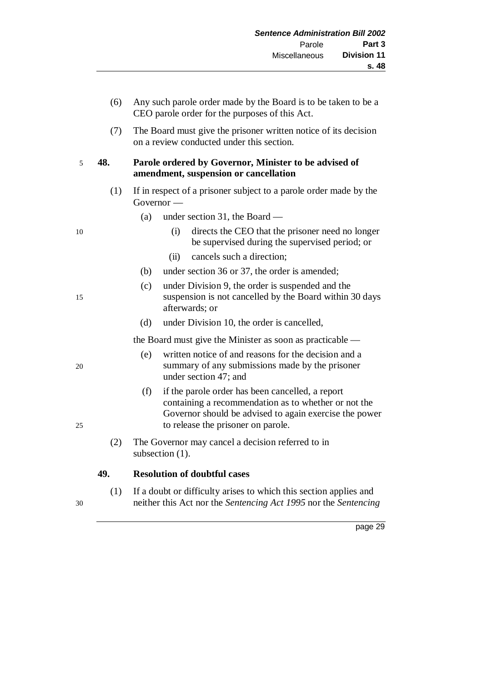|    | (6) | Any such parole order made by the Board is to be taken to be a<br>CEO parole order for the purposes of this Act.                                                                                                |  |
|----|-----|-----------------------------------------------------------------------------------------------------------------------------------------------------------------------------------------------------------------|--|
|    | (7) | The Board must give the prisoner written notice of its decision<br>on a review conducted under this section.                                                                                                    |  |
| 5  | 48. | Parole ordered by Governor, Minister to be advised of<br>amendment, suspension or cancellation                                                                                                                  |  |
|    | (1) | If in respect of a prisoner subject to a parole order made by the<br>$Government -$                                                                                                                             |  |
|    |     | (a)<br>under section 31, the Board $-$                                                                                                                                                                          |  |
| 10 |     | directs the CEO that the prisoner need no longer<br>(i)<br>be supervised during the supervised period; or                                                                                                       |  |
|    |     | cancels such a direction;<br>(ii)                                                                                                                                                                               |  |
|    |     | under section 36 or 37, the order is amended;<br>(b)                                                                                                                                                            |  |
| 15 |     | (c)<br>under Division 9, the order is suspended and the<br>suspension is not cancelled by the Board within 30 days<br>afterwards; or                                                                            |  |
|    |     | (d)<br>under Division 10, the order is cancelled,                                                                                                                                                               |  |
|    |     | the Board must give the Minister as soon as practicable —                                                                                                                                                       |  |
| 20 |     | written notice of and reasons for the decision and a<br>(e)<br>summary of any submissions made by the prisoner<br>under section 47; and                                                                         |  |
| 25 |     | (f)<br>if the parole order has been cancelled, a report<br>containing a recommendation as to whether or not the<br>Governor should be advised to again exercise the power<br>to release the prisoner on parole. |  |
|    | (2) | The Governor may cancel a decision referred to in<br>subsection $(1)$ .                                                                                                                                         |  |
|    | 49. | <b>Resolution of doubtful cases</b>                                                                                                                                                                             |  |
|    | (1) | If a doubt or difficulty arises to which this section applies and                                                                                                                                               |  |
|    |     |                                                                                                                                                                                                                 |  |

30 neither this Act nor the *Sentencing Act 1995* nor the *Sentencing*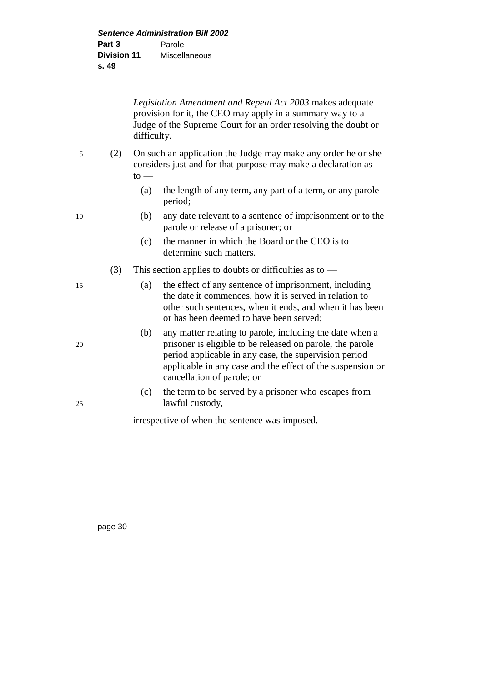*Legislation Amendment and Repeal Act 2003* makes adequate provision for it, the CEO may apply in a summary way to a Judge of the Supreme Court for an order resolving the doubt or difficulty.

- 5 (2) On such an application the Judge may make any order he or she considers just and for that purpose may make a declaration as  $to -$ 
	- (a) the length of any term, any part of a term, or any parole period;
- 10 (b) any date relevant to a sentence of imprisonment or to the parole or release of a prisoner; or
	- (c) the manner in which the Board or the CEO is to determine such matters.
	- (3) This section applies to doubts or difficulties as to —
- 15 (a) the effect of any sentence of imprisonment, including the date it commences, how it is served in relation to other such sentences, when it ends, and when it has been or has been deemed to have been served;
- (b) any matter relating to parole, including the date when a 20 prisoner is eligible to be released on parole, the parole period applicable in any case, the supervision period applicable in any case and the effect of the suspension or cancellation of parole; or
- (c) the term to be served by a prisoner who escapes from 25 lawful custody,

irrespective of when the sentence was imposed.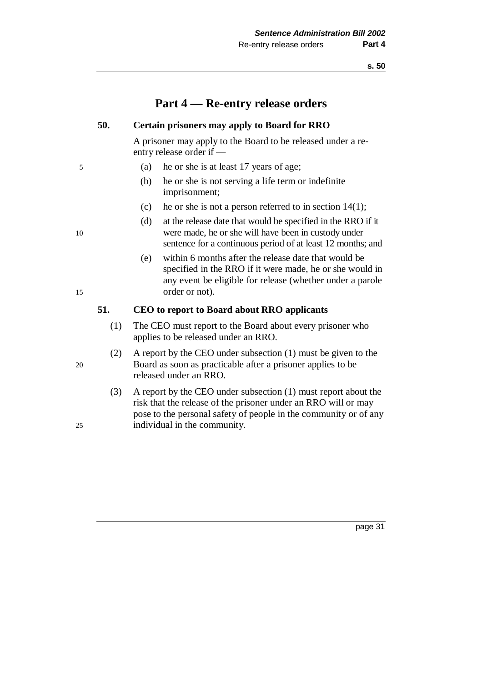## **Part 4 — Re-entry release orders**

#### **50. Certain prisoners may apply to Board for RRO**

A prisoner may apply to the Board to be released under a reentry release order if —

- 5 (a) he or she is at least 17 years of age;
	- (b) he or she is not serving a life term or indefinite imprisonment;
	- (c) he or she is not a person referred to in section  $14(1)$ ;
- (d) at the release date that would be specified in the RRO if it 10 were made, he or she will have been in custody under sentence for a continuous period of at least 12 months; and
- (e) within 6 months after the release date that would be specified in the RRO if it were made, he or she would in any event be eligible for release (whether under a parole 15 order or not).

### **51. CEO to report to Board about RRO applicants**

- (1) The CEO must report to the Board about every prisoner who applies to be released under an RRO.
- (2) A report by the CEO under subsection (1) must be given to the 20 Board as soon as practicable after a prisoner applies to be released under an RRO.
- (3) A report by the CEO under subsection (1) must report about the risk that the release of the prisoner under an RRO will or may pose to the personal safety of people in the community or of any 25 individual in the community.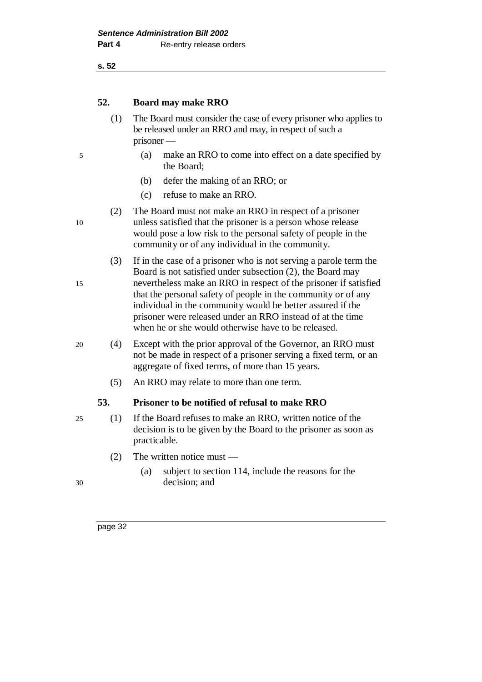**s. 52**

### **52. Board may make RRO**

- (1) The Board must consider the case of every prisoner who applies to be released under an RRO and may, in respect of such a prisoner —
- 5 (a) make an RRO to come into effect on a date specified by the Board;
	- (b) defer the making of an RRO; or
	- (c) refuse to make an RRO.
- (2) The Board must not make an RRO in respect of a prisoner 10 unless satisfied that the prisoner is a person whose release would pose a low risk to the personal safety of people in the community or of any individual in the community.
- (3) If in the case of a prisoner who is not serving a parole term the Board is not satisfied under subsection (2), the Board may 15 nevertheless make an RRO in respect of the prisoner if satisfied that the personal safety of people in the community or of any individual in the community would be better assured if the prisoner were released under an RRO instead of at the time when he or she would otherwise have to be released.
- 20 (4) Except with the prior approval of the Governor, an RRO must not be made in respect of a prisoner serving a fixed term, or an aggregate of fixed terms, of more than 15 years.
	- (5) An RRO may relate to more than one term.

### **53. Prisoner to be notified of refusal to make RRO**

- 25 (1) If the Board refuses to make an RRO, written notice of the decision is to be given by the Board to the prisoner as soon as practicable.
	- (2) The written notice must —
- (a) subject to section 114, include the reasons for the 30 decision; and
-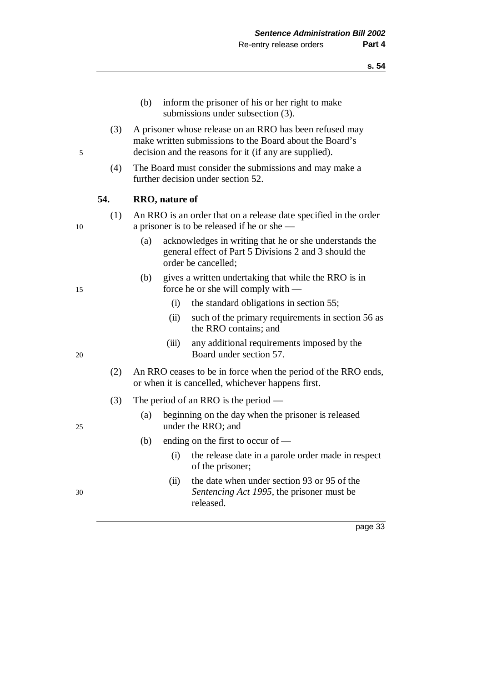- (b) inform the prisoner of his or her right to make submissions under subsection (3).
- (3) A prisoner whose release on an RRO has been refused may make written submissions to the Board about the Board's 5 decision and the reasons for it (if any are supplied).
	- (4) The Board must consider the submissions and may make a further decision under section 52.

#### **54. RRO, nature of**

- (1) An RRO is an order that on a release date specified in the order 10 a prisoner is to be released if he or she —
	- (a) acknowledges in writing that he or she understands the general effect of Part 5 Divisions 2 and 3 should the order be cancelled;
- (b) gives a written undertaking that while the RRO is in 15 force he or she will comply with —
	- (i) the standard obligations in section 55;
	- (ii) such of the primary requirements in section 56 as the RRO contains; and
- (iii) any additional requirements imposed by the 20 Board under section 57.
	- (2) An RRO ceases to be in force when the period of the RRO ends, or when it is cancelled, whichever happens first.
	- (3) The period of an RRO is the period —
- (a) beginning on the day when the prisoner is released 25 under the RRO; and
	- (b) ending on the first to occur of
		- (i) the release date in a parole order made in respect of the prisoner;
- (ii) the date when under section 93 or 95 of the 30 *Sentencing Act 1995*, the prisoner must be released.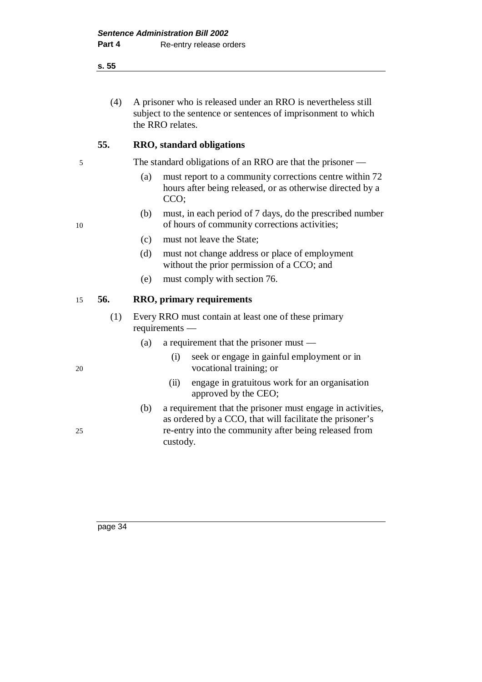#### **s. 55**

(4) A prisoner who is released under an RRO is nevertheless still subject to the sentence or sentences of imprisonment to which the RRO relates.

### **55. RRO, standard obligations**

5 The standard obligations of an RRO are that the prisoner —

- (a) must report to a community corrections centre within 72 hours after being released, or as otherwise directed by a CCO;
- (b) must, in each period of 7 days, do the prescribed number 10 of hours of community corrections activities;
	- (c) must not leave the State;
	- (d) must not change address or place of employment without the prior permission of a CCO; and
	- (e) must comply with section 76.

### 15 **56. RRO, primary requirements**

- (1) Every RRO must contain at least one of these primary requirements —
	- (a) a requirement that the prisoner must —
- (i) seek or engage in gainful employment or in 20 vocational training; or
	- (ii) engage in gratuitous work for an organisation approved by the CEO;
- (b) a requirement that the prisoner must engage in activities, as ordered by a CCO, that will facilitate the prisoner's 25 re-entry into the community after being released from custody.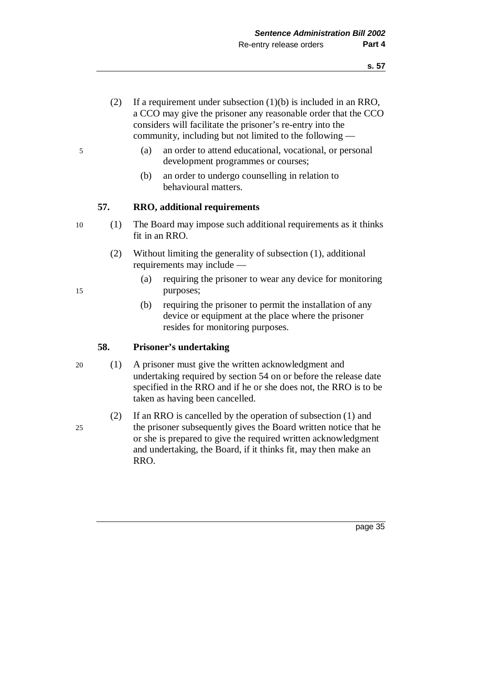- (2) If a requirement under subsection (1)(b) is included in an RRO, a CCO may give the prisoner any reasonable order that the CCO considers will facilitate the prisoner's re-entry into the community, including but not limited to the following —
- 5 (a) an order to attend educational, vocational, or personal development programmes or courses;
	- (b) an order to undergo counselling in relation to behavioural matters.

### **57. RRO, additional requirements**

- 10 (1) The Board may impose such additional requirements as it thinks fit in an RRO.
	- (2) Without limiting the generality of subsection (1), additional requirements may include —
- (a) requiring the prisoner to wear any device for monitoring 15 purposes;
	- (b) requiring the prisoner to permit the installation of any device or equipment at the place where the prisoner resides for monitoring purposes.

### **58. Prisoner's undertaking**

- 20 (1) A prisoner must give the written acknowledgment and undertaking required by section 54 on or before the release date specified in the RRO and if he or she does not, the RRO is to be taken as having been cancelled.
- (2) If an RRO is cancelled by the operation of subsection (1) and 25 the prisoner subsequently gives the Board written notice that he or she is prepared to give the required written acknowledgment and undertaking, the Board, if it thinks fit, may then make an RRO.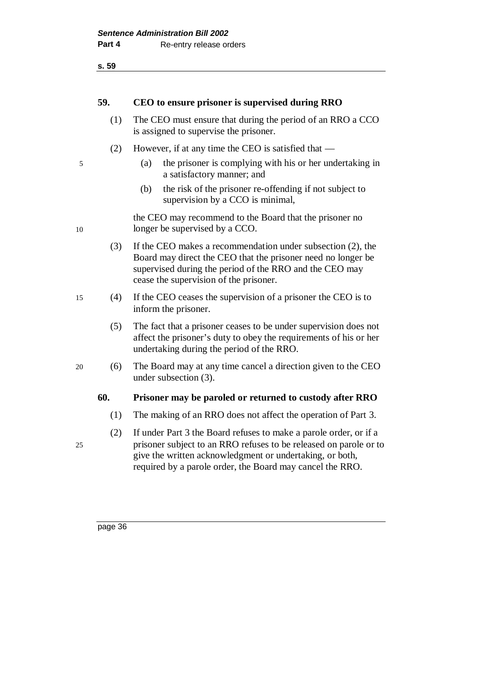| ×<br>۰.<br>., | ×<br>×<br>۰.<br>۰,<br>۰.<br>×<br>M. |
|---------------|-------------------------------------|
|               |                                     |

| 59. | CEO to ensure prisoner is supervised during RRO |  |  |
|-----|-------------------------------------------------|--|--|
|     |                                                 |  |  |

- (1) The CEO must ensure that during the period of an RRO a CCO is assigned to supervise the prisoner.
- (2) However, if at any time the CEO is satisfied that —
- 5 (a) the prisoner is complying with his or her undertaking in a satisfactory manner; and
	- (b) the risk of the prisoner re-offending if not subject to supervision by a CCO is minimal,

the CEO may recommend to the Board that the prisoner no 10 longer be supervised by a CCO.

- (3) If the CEO makes a recommendation under subsection (2), the Board may direct the CEO that the prisoner need no longer be supervised during the period of the RRO and the CEO may cease the supervision of the prisoner.
- 15 (4) If the CEO ceases the supervision of a prisoner the CEO is to inform the prisoner.
	- (5) The fact that a prisoner ceases to be under supervision does not affect the prisoner's duty to obey the requirements of his or her undertaking during the period of the RRO.
- 20 (6) The Board may at any time cancel a direction given to the CEO under subsection (3).

#### **60. Prisoner may be paroled or returned to custody after RRO**

- (1) The making of an RRO does not affect the operation of Part 3.
- (2) If under Part 3 the Board refuses to make a parole order, or if a 25 prisoner subject to an RRO refuses to be released on parole or to give the written acknowledgment or undertaking, or both, required by a parole order, the Board may cancel the RRO.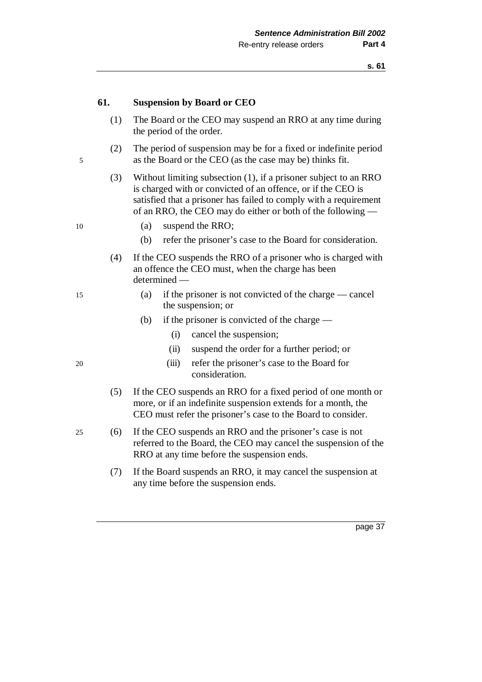#### **61. Suspension by Board or CEO**

- (1) The Board or the CEO may suspend an RRO at any time during the period of the order.
- (2) The period of suspension may be for a fixed or indefinite period 5 as the Board or the CEO (as the case may be) thinks fit.
	- (3) Without limiting subsection (1), if a prisoner subject to an RRO is charged with or convicted of an offence, or if the CEO is satisfied that a prisoner has failed to comply with a requirement of an RRO, the CEO may do either or both of the following —
- 10 (a) suspend the RRO;
	- (b) refer the prisoner's case to the Board for consideration.
	- (4) If the CEO suspends the RRO of a prisoner who is charged with an offence the CEO must, when the charge has been determined —
- 15 (a) if the prisoner is not convicted of the charge cancel the suspension; or
	- (b) if the prisoner is convicted of the charge
		- (i) cancel the suspension;
		- (ii) suspend the order for a further period; or
- 20 (iii) refer the prisoner's case to the Board for consideration.
	- (5) If the CEO suspends an RRO for a fixed period of one month or more, or if an indefinite suspension extends for a month, the CEO must refer the prisoner's case to the Board to consider.
- 25 (6) If the CEO suspends an RRO and the prisoner's case is not referred to the Board, the CEO may cancel the suspension of the RRO at any time before the suspension ends.
	- (7) If the Board suspends an RRO, it may cancel the suspension at any time before the suspension ends.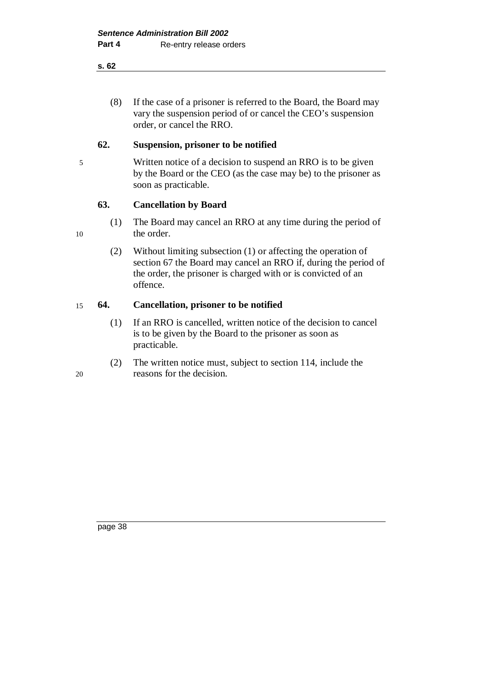#### **s. 62**

(8) If the case of a prisoner is referred to the Board, the Board may vary the suspension period of or cancel the CEO's suspension order, or cancel the RRO.

### **62. Suspension, prisoner to be notified**

5 Written notice of a decision to suspend an RRO is to be given by the Board or the CEO (as the case may be) to the prisoner as soon as practicable.

### **63. Cancellation by Board**

- (1) The Board may cancel an RRO at any time during the period of 10 the order.
	- (2) Without limiting subsection (1) or affecting the operation of section 67 the Board may cancel an RRO if, during the period of the order, the prisoner is charged with or is convicted of an offence.

### 15 **64. Cancellation, prisoner to be notified**

- (1) If an RRO is cancelled, written notice of the decision to cancel is to be given by the Board to the prisoner as soon as practicable.
- (2) The written notice must, subject to section 114, include the 20 reasons for the decision.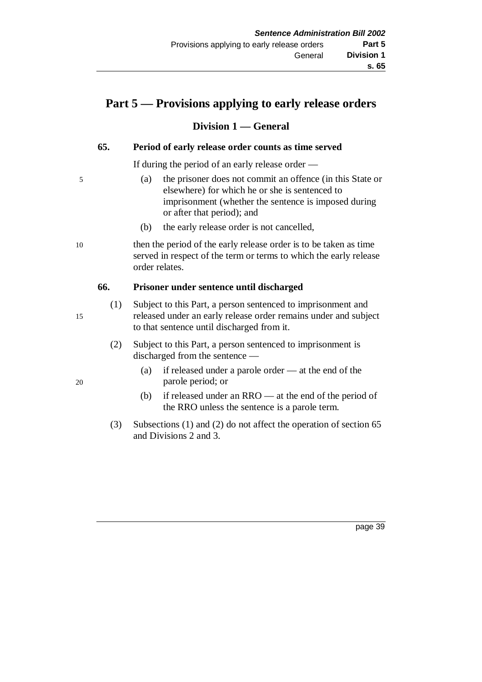# **Part 5 — Provisions applying to early release orders**

### **Division 1 — General**

### **65. Period of early release order counts as time served**

If during the period of an early release order —

- 5 (a) the prisoner does not commit an offence (in this State or elsewhere) for which he or she is sentenced to imprisonment (whether the sentence is imposed during or after that period); and
	- (b) the early release order is not cancelled,

10 then the period of the early release order is to be taken as time served in respect of the term or terms to which the early release order relates.

### **66. Prisoner under sentence until discharged**

- (1) Subject to this Part, a person sentenced to imprisonment and 15 released under an early release order remains under and subject to that sentence until discharged from it.
	- (2) Subject to this Part, a person sentenced to imprisonment is discharged from the sentence —
- (a) if released under a parole order at the end of the 20 parole period; or
	- (b) if released under an RRO at the end of the period of the RRO unless the sentence is a parole term.
	- (3) Subsections (1) and (2) do not affect the operation of section 65 and Divisions 2 and 3.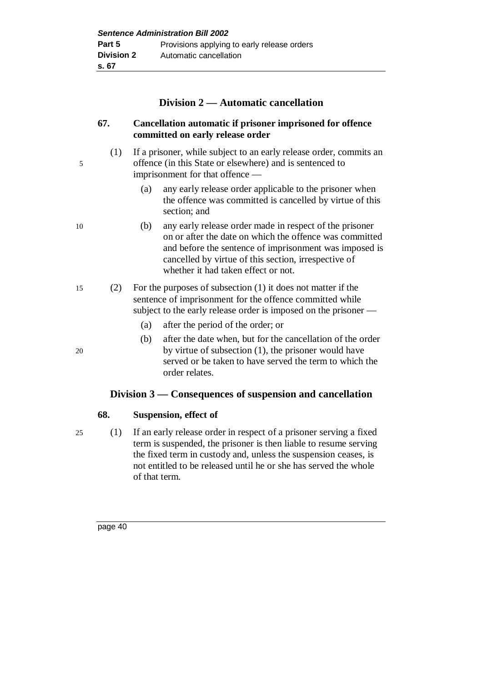| <b>Sentence Administration Bill 2002</b> |                                             |  |
|------------------------------------------|---------------------------------------------|--|
| Part 5                                   | Provisions applying to early release orders |  |
| <b>Division 2</b>                        | Automatic cancellation                      |  |
| s. 67                                    |                                             |  |

### **Division 2 — Automatic cancellation**

### **67. Cancellation automatic if prisoner imprisoned for offence committed on early release order**

- (1) If a prisoner, while subject to an early release order, commits an 5 offence (in this State or elsewhere) and is sentenced to imprisonment for that offence —
	- (a) any early release order applicable to the prisoner when the offence was committed is cancelled by virtue of this section; and
- 10 (b) any early release order made in respect of the prisoner on or after the date on which the offence was committed and before the sentence of imprisonment was imposed is cancelled by virtue of this section, irrespective of whether it had taken effect or not.
- 15 (2) For the purposes of subsection (1) it does not matter if the sentence of imprisonment for the offence committed while subject to the early release order is imposed on the prisoner —
	- (a) after the period of the order; or
- (b) after the date when, but for the cancellation of the order 20 by virtue of subsection (1), the prisoner would have served or be taken to have served the term to which the order relates.

## **Division 3 — Consequences of suspension and cancellation**

### **68. Suspension, effect of**

25 (1) If an early release order in respect of a prisoner serving a fixed term is suspended, the prisoner is then liable to resume serving the fixed term in custody and, unless the suspension ceases, is not entitled to be released until he or she has served the whole of that term.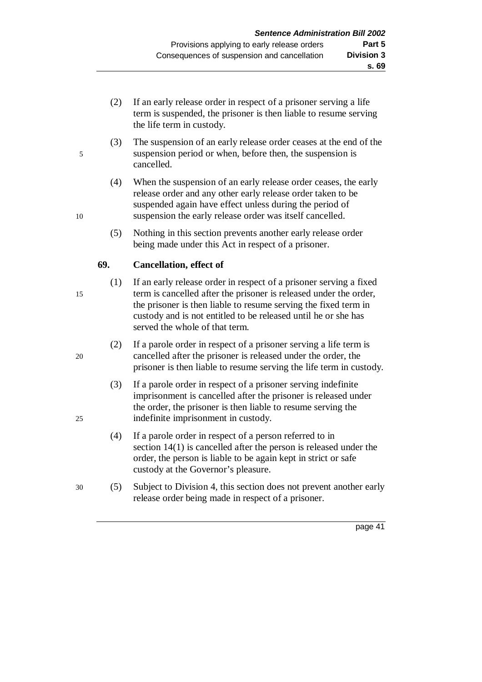- (2) If an early release order in respect of a prisoner serving a life term is suspended, the prisoner is then liable to resume serving the life term in custody.
- (3) The suspension of an early release order ceases at the end of the 5 suspension period or when, before then, the suspension is cancelled.
- (4) When the suspension of an early release order ceases, the early release order and any other early release order taken to be suspended again have effect unless during the period of 10 suspension the early release order was itself cancelled.
	- (5) Nothing in this section prevents another early release order being made under this Act in respect of a prisoner.

## **69. Cancellation, effect of**

- (1) If an early release order in respect of a prisoner serving a fixed 15 term is cancelled after the prisoner is released under the order, the prisoner is then liable to resume serving the fixed term in custody and is not entitled to be released until he or she has served the whole of that term.
- (2) If a parole order in respect of a prisoner serving a life term is 20 cancelled after the prisoner is released under the order, the prisoner is then liable to resume serving the life term in custody.
- (3) If a parole order in respect of a prisoner serving indefinite imprisonment is cancelled after the prisoner is released under the order, the prisoner is then liable to resume serving the 25 indefinite imprisonment in custody.
	- (4) If a parole order in respect of a person referred to in section 14(1) is cancelled after the person is released under the order, the person is liable to be again kept in strict or safe custody at the Governor's pleasure.
- 30 (5) Subject to Division 4, this section does not prevent another early release order being made in respect of a prisoner.

- 
- 
-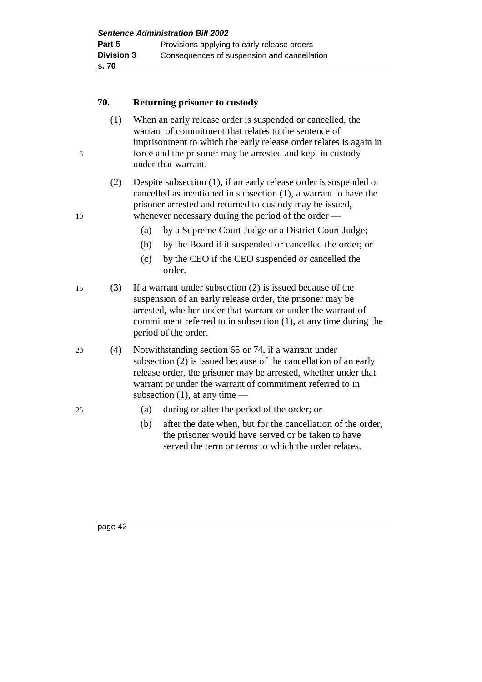**Sentence Administration Bill 2002 Part 5** Provisions applying to early release orders **Division 3** Consequences of suspension and cancellation **s. 70**

### **70. Returning prisoner to custody**

- (1) When an early release order is suspended or cancelled, the warrant of commitment that relates to the sentence of imprisonment to which the early release order relates is again in 5 force and the prisoner may be arrested and kept in custody under that warrant.
- (2) Despite subsection (1), if an early release order is suspended or cancelled as mentioned in subsection (1), a warrant to have the prisoner arrested and returned to custody may be issued, 10 whenever necessary during the period of the order —
	- (a) by a Supreme Court Judge or a District Court Judge;
	- (b) by the Board if it suspended or cancelled the order; or
	- (c) by the CEO if the CEO suspended or cancelled the order.
- 15 (3) If a warrant under subsection (2) is issued because of the suspension of an early release order, the prisoner may be arrested, whether under that warrant or under the warrant of commitment referred to in subsection (1), at any time during the period of the order.
- 20 (4) Notwithstanding section 65 or 74, if a warrant under subsection (2) is issued because of the cancellation of an early release order, the prisoner may be arrested, whether under that warrant or under the warrant of commitment referred to in subsection  $(1)$ , at any time —
- 25 (a) during or after the period of the order; or
	- (b) after the date when, but for the cancellation of the order, the prisoner would have served or be taken to have served the term or terms to which the order relates.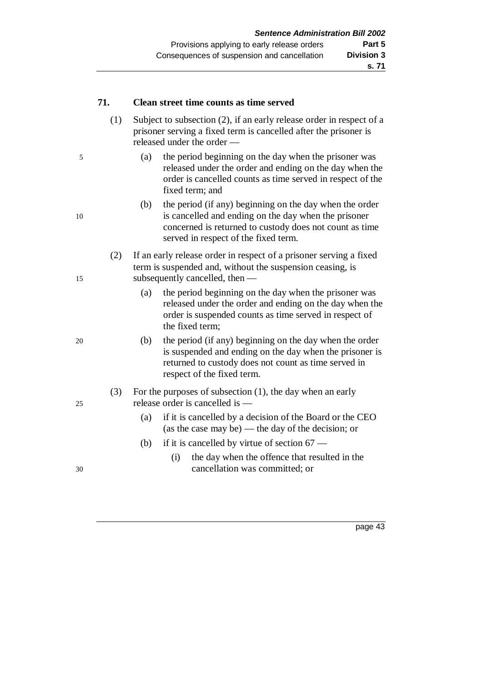### **71. Clean street time counts as time served**

- (1) Subject to subsection (2), if an early release order in respect of a prisoner serving a fixed term is cancelled after the prisoner is released under the order —
- 5 (a) the period beginning on the day when the prisoner was released under the order and ending on the day when the order is cancelled counts as time served in respect of the fixed term; and
- (b) the period (if any) beginning on the day when the order 10 is cancelled and ending on the day when the prisoner concerned is returned to custody does not count as time served in respect of the fixed term.
- (2) If an early release order in respect of a prisoner serving a fixed term is suspended and, without the suspension ceasing, is 15 subsequently cancelled, then —
	- (a) the period beginning on the day when the prisoner was released under the order and ending on the day when the order is suspended counts as time served in respect of the fixed term;
- 20 (b) the period (if any) beginning on the day when the order is suspended and ending on the day when the prisoner is returned to custody does not count as time served in respect of the fixed term.

### (3) For the purposes of subsection (1), the day when an early 25 release order is cancelled is —

- (a) if it is cancelled by a decision of the Board or the CEO (as the case may be) — the day of the decision; or
- (b) if it is cancelled by virtue of section  $67 -$
- (i) the day when the offence that resulted in the 30 cancellation was committed; or

page  $4\overline{3}$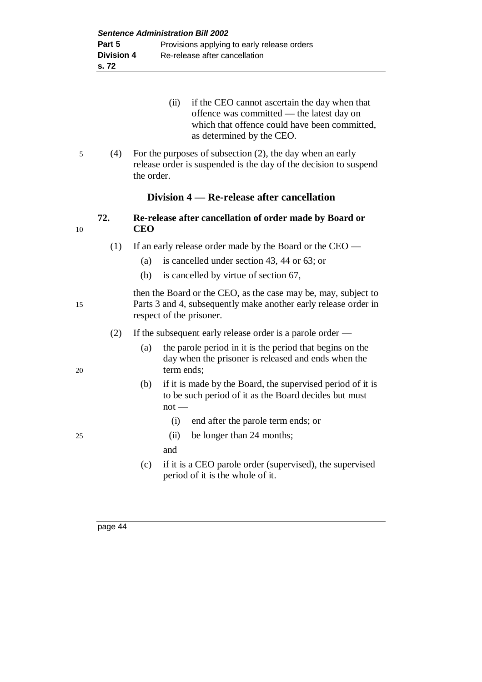| (ii) | if the CEO cannot ascertain the day when that |
|------|-----------------------------------------------|
|      | offence was committed — the latest day on     |
|      | which that offence could have been committed, |
|      | as determined by the CEO.                     |

5 (4) For the purposes of subsection (2), the day when an early release order is suspended is the day of the decision to suspend the order.

#### **Division 4 — Re-release after cancellation**

- **72. Re-release after cancellation of order made by Board or** 10 **CEO**
	- (1) If an early release order made by the Board or the CEO
		- (a) is cancelled under section 43, 44 or 63; or
		- (b) is cancelled by virtue of section 67,

then the Board or the CEO, as the case may be, may, subject to 15 Parts 3 and 4, subsequently make another early release order in respect of the prisoner.

- (2) If the subsequent early release order is a parole order —
- (a) the parole period in it is the period that begins on the day when the prisoner is released and ends when the 20 term ends;
	- (b) if it is made by the Board, the supervised period of it is to be such period of it as the Board decides but must  $not -$ 
		- (i) end after the parole term ends; or
- 25 (ii) be longer than 24 months;
	- and
	- (c) if it is a CEO parole order (supervised), the supervised period of it is the whole of it.
-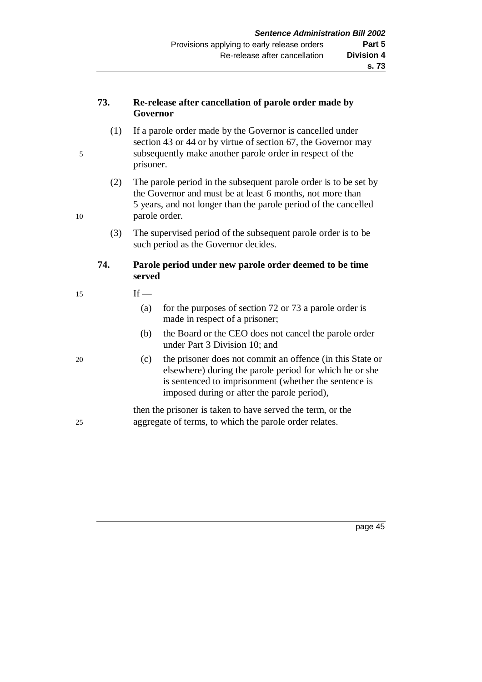### **73. Re-release after cancellation of parole order made by Governor**

- (1) If a parole order made by the Governor is cancelled under section 43 or 44 or by virtue of section 67, the Governor may 5 subsequently make another parole order in respect of the prisoner.
- (2) The parole period in the subsequent parole order is to be set by the Governor and must be at least 6 months, not more than 5 years, and not longer than the parole period of the cancelled 10 parole order.
	- (3) The supervised period of the subsequent parole order is to be such period as the Governor decides.

## **74. Parole period under new parole order deemed to be time served**

### $15$  If —

- (a) for the purposes of section 72 or 73 a parole order is made in respect of a prisoner;
- (b) the Board or the CEO does not cancel the parole order under Part 3 Division 10; and
- 20 (c) the prisoner does not commit an offence (in this State or elsewhere) during the parole period for which he or she is sentenced to imprisonment (whether the sentence is imposed during or after the parole period),

then the prisoner is taken to have served the term, or the 25 aggregate of terms, to which the parole order relates.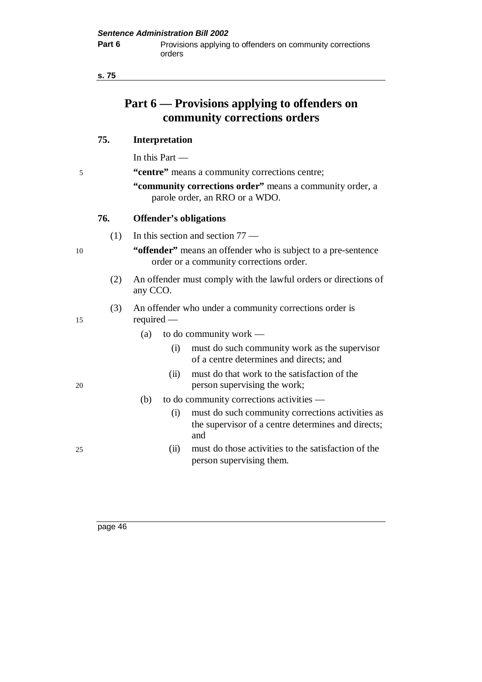| ×<br>۰.<br>.,<br>۰. | ×<br>۰.<br>M. |
|---------------------|---------------|
|                     |               |

# **Part 6 — Provisions applying to offenders on community corrections orders**

### **75. Interpretation**

In this Part —

5 **"centre"** means a community corrections centre;

**"community corrections order"** means a community order, a parole order, an RRO or a WDO.

#### **76. Offender's obligations**

(1) In this section and section 77 —

10 **"offender"** means an offender who is subject to a pre-sentence order or a community corrections order.

> (2) An offender must comply with the lawful orders or directions of any CCO.

#### (3) An offender who under a community corrections order is 15 required —

(a) to do community work — (i) must do such community work as the supervisor of a centre determines and directs; and (ii) must do that work to the satisfaction of the 20 person supervising the work; (b) to do community corrections activities — (i) must do such community corrections activities as the supervisor of a centre determines and directs; and 25 (ii) must do those activities to the satisfaction of the person supervising them.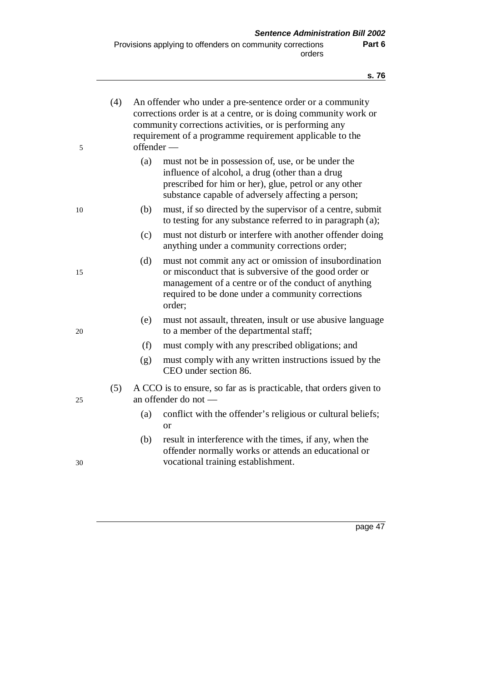**s. 76**

| 5  | (4) | offender — | An offender who under a pre-sentence order or a community<br>corrections order is at a centre, or is doing community work or<br>community corrections activities, or is performing any<br>requirement of a programme requirement applicable to the |
|----|-----|------------|----------------------------------------------------------------------------------------------------------------------------------------------------------------------------------------------------------------------------------------------------|
|    |     | (a)        | must not be in possession of, use, or be under the<br>influence of alcohol, a drug (other than a drug<br>prescribed for him or her), glue, petrol or any other<br>substance capable of adversely affecting a person;                               |
| 10 |     | (b)        | must, if so directed by the supervisor of a centre, submit<br>to testing for any substance referred to in paragraph (a);                                                                                                                           |
|    |     | (c)        | must not disturb or interfere with another offender doing<br>anything under a community corrections order;                                                                                                                                         |
| 15 |     | (d)        | must not commit any act or omission of insubordination<br>or misconduct that is subversive of the good order or<br>management of a centre or of the conduct of anything<br>required to be done under a community corrections<br>order;             |
| 20 |     | (e)        | must not assault, threaten, insult or use abusive language<br>to a member of the departmental staff;                                                                                                                                               |
|    |     | (f)        | must comply with any prescribed obligations; and                                                                                                                                                                                                   |
|    |     | (g)        | must comply with any written instructions issued by the<br>CEO under section 86.                                                                                                                                                                   |
| 25 | (5) |            | A CCO is to ensure, so far as is practicable, that orders given to<br>an offender do not -                                                                                                                                                         |
|    |     | (a)        | conflict with the offender's religious or cultural beliefs;<br><sub>or</sub>                                                                                                                                                                       |
| 30 |     | (b)        | result in interference with the times, if any, when the<br>offender normally works or attends an educational or<br>vocational training establishment.                                                                                              |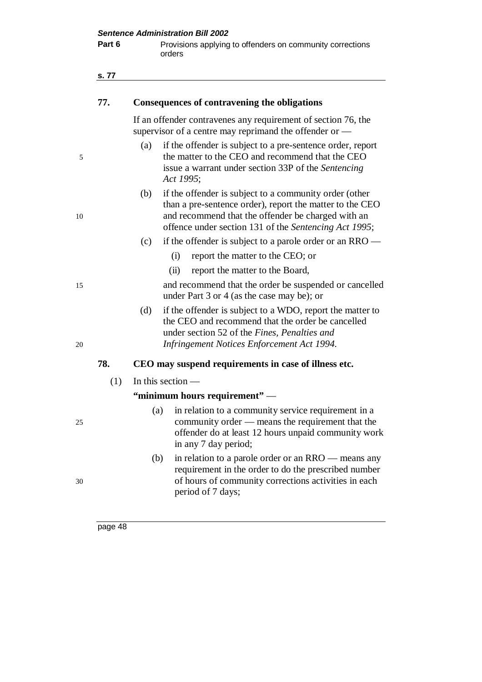| Part 6 | Provisions applying to offenders on community corrections<br>orders                                                                                                                                                                      |
|--------|------------------------------------------------------------------------------------------------------------------------------------------------------------------------------------------------------------------------------------------|
| s. 77  |                                                                                                                                                                                                                                          |
| 77.    | Consequences of contravening the obligations                                                                                                                                                                                             |
|        | If an offender contravenes any requirement of section 76, the<br>supervisor of a centre may reprimand the offender or -                                                                                                                  |
|        | if the offender is subject to a pre-sentence order, report<br>(a)<br>the matter to the CEO and recommend that the CEO<br>issue a warrant under section 33P of the Sentencing<br>Act 1995;                                                |
|        | if the offender is subject to a community order (other<br>(b)<br>than a pre-sentence order), report the matter to the CEO<br>and recommend that the offender be charged with an<br>offence under section 131 of the Sentencing Act 1995; |
|        | (c)<br>if the offender is subject to a parole order or an $RRO$ —                                                                                                                                                                        |
|        | report the matter to the CEO; or<br>(i)                                                                                                                                                                                                  |
|        | (ii)<br>report the matter to the Board,                                                                                                                                                                                                  |
|        | and recommend that the order be suspended or cancelled<br>under Part 3 or 4 (as the case may be); or                                                                                                                                     |
|        | if the offender is subject to a WDO, report the matter to<br>(d)<br>the CEO and recommend that the order be cancelled<br>under section 52 of the Fines, Penalties and<br>Infringement Notices Enforcement Act 1994.                      |
| 78.    | CEO may suspend requirements in case of illness etc.                                                                                                                                                                                     |
| (1)    | In this section $-$                                                                                                                                                                                                                      |
|        | "minimum hours requirement" —                                                                                                                                                                                                            |
|        | in relation to a community service requirement in a<br>(a)<br>community order — means the requirement that the<br>offender do at least 12 hours unpaid community work<br>in any 7 day period;                                            |
|        | in relation to a parole order or an RRO — means any<br>(b)<br>requirement in the order to do the prescribed number<br>of hours of community corrections activities in each<br>period of 7 days;                                          |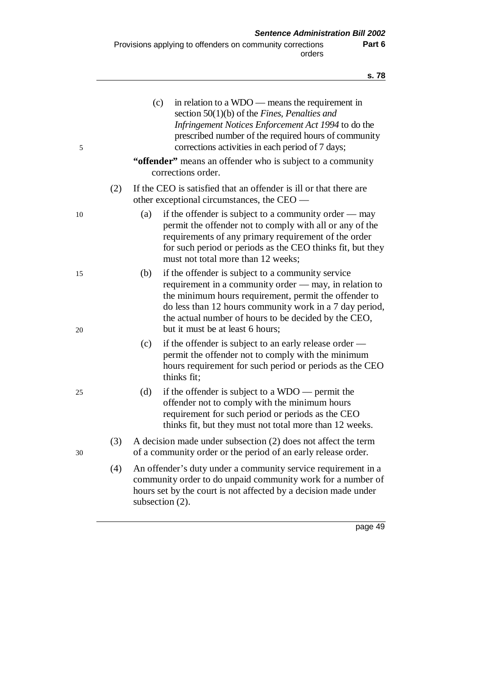| 5        |     | (c)             | in relation to a WDO — means the requirement in<br>section $50(1)(b)$ of the Fines, Penalties and<br>Infringement Notices Enforcement Act 1994 to do the<br>prescribed number of the required hours of community<br>corrections activities in each period of 7 days;<br>"offender" means an offender who is subject to a community<br>corrections order. |
|----------|-----|-----------------|----------------------------------------------------------------------------------------------------------------------------------------------------------------------------------------------------------------------------------------------------------------------------------------------------------------------------------------------------------|
|          | (2) |                 | If the CEO is satisfied that an offender is ill or that there are<br>other exceptional circumstances, the CEO —                                                                                                                                                                                                                                          |
| 10       |     | (a)             | if the offender is subject to a community order $-$ may<br>permit the offender not to comply with all or any of the<br>requirements of any primary requirement of the order<br>for such period or periods as the CEO thinks fit, but they<br>must not total more than 12 weeks;                                                                          |
| 15<br>20 |     | (b)             | if the offender is subject to a community service<br>requirement in a community order — may, in relation to<br>the minimum hours requirement, permit the offender to<br>do less than 12 hours community work in a 7 day period,<br>the actual number of hours to be decided by the CEO,<br>but it must be at least 6 hours;                              |
|          |     | (c)             | if the offender is subject to an early release order —<br>permit the offender not to comply with the minimum<br>hours requirement for such period or periods as the CEO<br>thinks fit;                                                                                                                                                                   |
| 25       |     | (d)             | if the offender is subject to a $WDO$ — permit the<br>offender not to comply with the minimum hours<br>requirement for such period or periods as the CEO<br>thinks fit, but they must not total more than 12 weeks.                                                                                                                                      |
| 30       | (3) |                 | A decision made under subsection (2) does not affect the term<br>of a community order or the period of an early release order.                                                                                                                                                                                                                           |
|          | (4) | subsection (2). | An offender's duty under a community service requirement in a<br>community order to do unpaid community work for a number of<br>hours set by the court is not affected by a decision made under                                                                                                                                                          |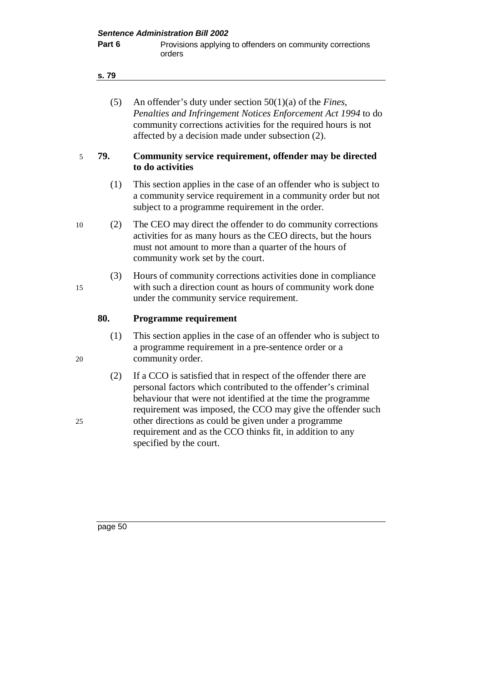#### **s. 79**

| (5) | An offender's duty under section $50(1)(a)$ of the <i>Fines</i> , |
|-----|-------------------------------------------------------------------|
|     | Penalties and Infringement Notices Enforcement Act 1994 to do     |
|     | community corrections activities for the required hours is not    |
|     | affected by a decision made under subsection (2).                 |

#### 5 **79. Community service requirement, offender may be directed to do activities**

- (1) This section applies in the case of an offender who is subject to a community service requirement in a community order but not subject to a programme requirement in the order.
- 10 (2) The CEO may direct the offender to do community corrections activities for as many hours as the CEO directs, but the hours must not amount to more than a quarter of the hours of community work set by the court.
- (3) Hours of community corrections activities done in compliance 15 with such a direction count as hours of community work done under the community service requirement.

#### **80. Programme requirement**

- (1) This section applies in the case of an offender who is subject to a programme requirement in a pre-sentence order or a 20 community order.
- (2) If a CCO is satisfied that in respect of the offender there are personal factors which contributed to the offender's criminal behaviour that were not identified at the time the programme requirement was imposed, the CCO may give the offender such 25 other directions as could be given under a programme requirement and as the CCO thinks fit, in addition to any specified by the court.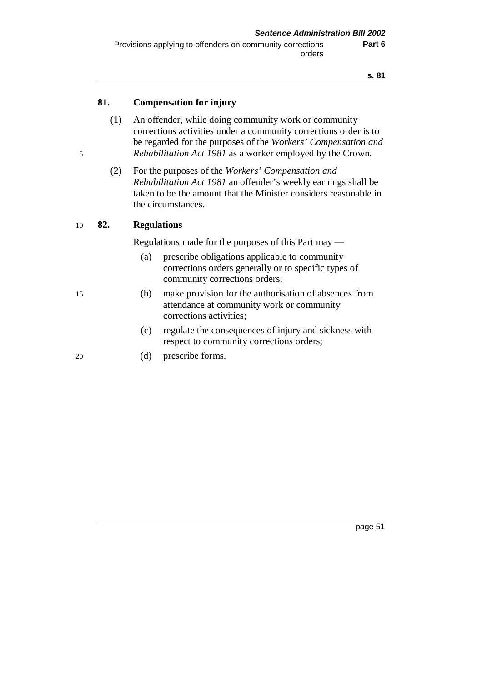### **81. Compensation for injury**

- (1) An offender, while doing community work or community corrections activities under a community corrections order is to be regarded for the purposes of the *Workers' Compensation and* 5 *Rehabilitation Act 1981* as a worker employed by the Crown.
	- (2) For the purposes of the *Workers' Compensation and Rehabilitation Act 1981* an offender's weekly earnings shall be taken to be the amount that the Minister considers reasonable in the circumstances.

#### 10 **82. Regulations**

Regulations made for the purposes of this Part may —

- (a) prescribe obligations applicable to community corrections orders generally or to specific types of community corrections orders;
- 15 (b) make provision for the authorisation of absences from attendance at community work or community corrections activities;
	- (c) regulate the consequences of injury and sickness with respect to community corrections orders;
- 20 (d) prescribe forms.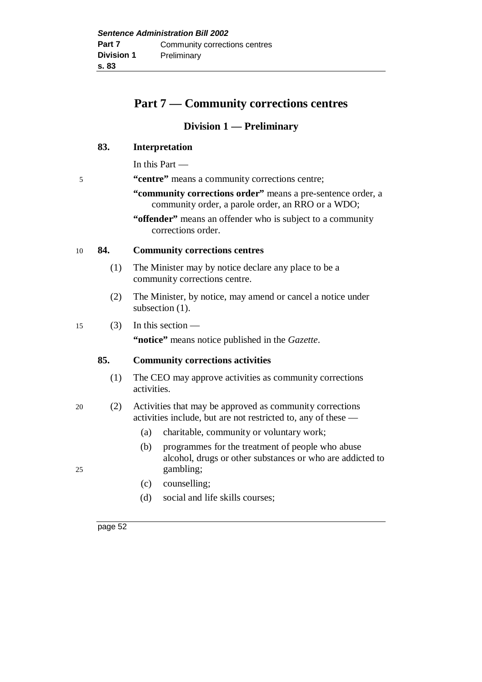# **Part 7 — Community corrections centres**

### **Division 1 — Preliminary**

### **83. Interpretation**

In this Part —

- 5 **"centre"** means a community corrections centre;
	- **"community corrections order"** means a pre-sentence order, a community order, a parole order, an RRO or a WDO;
	- "**offender**" means an offender who is subject to a community corrections order.

#### 10 **84. Community corrections centres**

- (1) The Minister may by notice declare any place to be a community corrections centre.
- (2) The Minister, by notice, may amend or cancel a notice under subsection (1).

#### $15$  (3) In this section —

**"notice"** means notice published in the *Gazette*.

#### **85. Community corrections activities**

- (1) The CEO may approve activities as community corrections activities.
- 20 (2) Activities that may be approved as community corrections activities include, but are not restricted to, any of these —
	- (a) charitable, community or voluntary work;
- (b) programmes for the treatment of people who abuse alcohol, drugs or other substances or who are addicted to 25 gambling;
	- (c) counselling;
	- (d) social and life skills courses;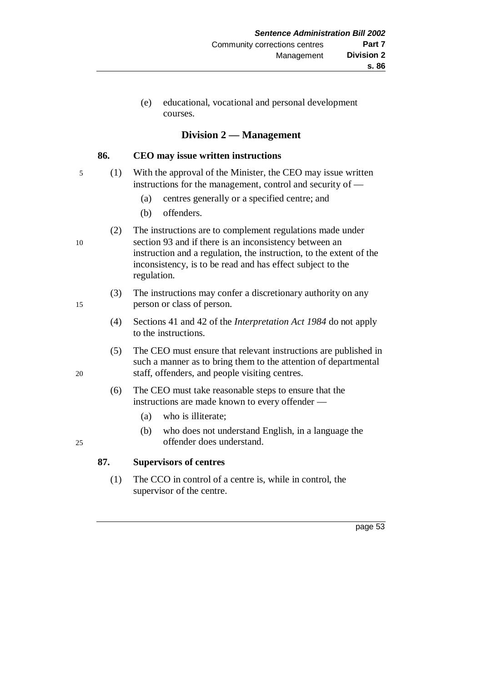(e) educational, vocational and personal development courses.

### **Division 2 — Management**

#### **86. CEO may issue written instructions**

- 5 (1) With the approval of the Minister, the CEO may issue written instructions for the management, control and security of —
	- (a) centres generally or a specified centre; and
	- (b) offenders.
- (2) The instructions are to complement regulations made under 10 section 93 and if there is an inconsistency between an instruction and a regulation, the instruction, to the extent of the inconsistency, is to be read and has effect subject to the regulation.
- (3) The instructions may confer a discretionary authority on any 15 person or class of person.
	- (4) Sections 41 and 42 of the *Interpretation Act 1984* do not apply to the instructions.
- (5) The CEO must ensure that relevant instructions are published in such a manner as to bring them to the attention of departmental 20 staff, offenders, and people visiting centres.
	- (6) The CEO must take reasonable steps to ensure that the instructions are made known to every offender —
		- (a) who is illiterate;
- (b) who does not understand English, in a language the 25 offender does understand.

### **87. Supervisors of centres**

(1) The CCO in control of a centre is, while in control, the supervisor of the centre.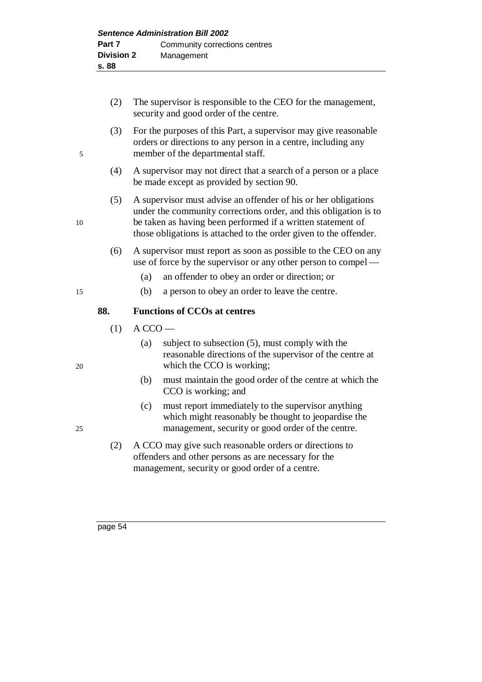- (2) The supervisor is responsible to the CEO for the management, security and good order of the centre. (3) For the purposes of this Part, a supervisor may give reasonable orders or directions to any person in a centre, including any 5 member of the departmental staff. (4) A supervisor may not direct that a search of a person or a place be made except as provided by section 90. (5) A supervisor must advise an offender of his or her obligations under the community corrections order, and this obligation is to 10 be taken as having been performed if a written statement of those obligations is attached to the order given to the offender. (6) A supervisor must report as soon as possible to the CEO on any use of force by the supervisor or any other person to compel — (a) an offender to obey an order or direction; or 15 (b) a person to obey an order to leave the centre. **88. Functions of CCOs at centres**
	- $(1)$  A CCO —
- (a) subject to subsection (5), must comply with the reasonable directions of the supervisor of the centre at 20 which the CCO is working;
	- (b) must maintain the good order of the centre at which the CCO is working; and
- (c) must report immediately to the supervisor anything which might reasonably be thought to jeopardise the 25 management, security or good order of the centre.
	- (2) A CCO may give such reasonable orders or directions to offenders and other persons as are necessary for the management, security or good order of a centre.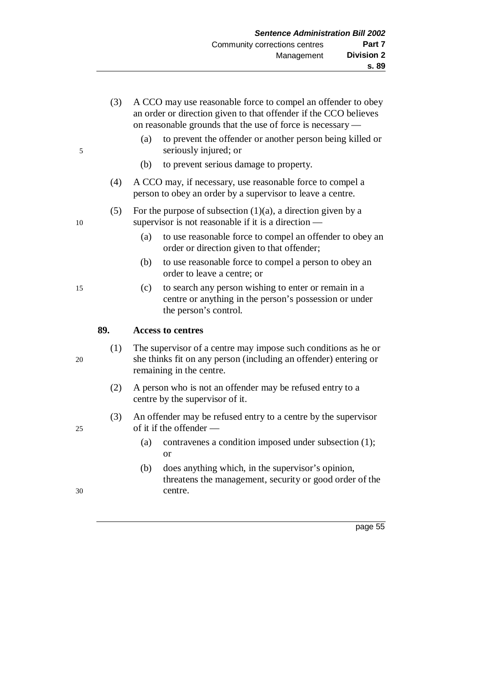| on reasonable grounds that the use of force is necessary —                                                                                                                  | an order or direction given to that offender if the CCO believes |
|-----------------------------------------------------------------------------------------------------------------------------------------------------------------------------|------------------------------------------------------------------|
| to prevent the offender or another person being killed or<br>(a)<br>seriously injured; or<br>5                                                                              |                                                                  |
| to prevent serious damage to property.<br>(b)                                                                                                                               |                                                                  |
| (4)<br>A CCO may, if necessary, use reasonable force to compel a<br>person to obey an order by a supervisor to leave a centre.                                              |                                                                  |
| (5)<br>For the purpose of subsection $(1)(a)$ , a direction given by a<br>supervisor is not reasonable if it is a direction $-$<br>10                                       |                                                                  |
| (a)<br>to use reasonable force to compel an offender to obey an<br>order or direction given to that offender;                                                               |                                                                  |
| to use reasonable force to compel a person to obey an<br>(b)<br>order to leave a centre; or                                                                                 |                                                                  |
| to search any person wishing to enter or remain in a<br>(c)<br>15<br>centre or anything in the person's possession or under<br>the person's control.                        |                                                                  |
| 89.<br><b>Access to centres</b>                                                                                                                                             |                                                                  |
| The supervisor of a centre may impose such conditions as he or<br>(1)<br>she thinks fit on any person (including an offender) entering or<br>20<br>remaining in the centre. |                                                                  |
| (2)<br>A person who is not an offender may be refused entry to a<br>centre by the supervisor of it.                                                                         |                                                                  |
| (3)<br>An offender may be refused entry to a centre by the supervisor<br>of it if the offender —<br>25                                                                      |                                                                  |
| contravenes a condition imposed under subsection (1);<br>(a)<br>or                                                                                                          |                                                                  |
| does anything which, in the supervisor's opinion,<br>(b)<br>threatens the management, security or good order of the<br>centre.<br>30                                        |                                                                  |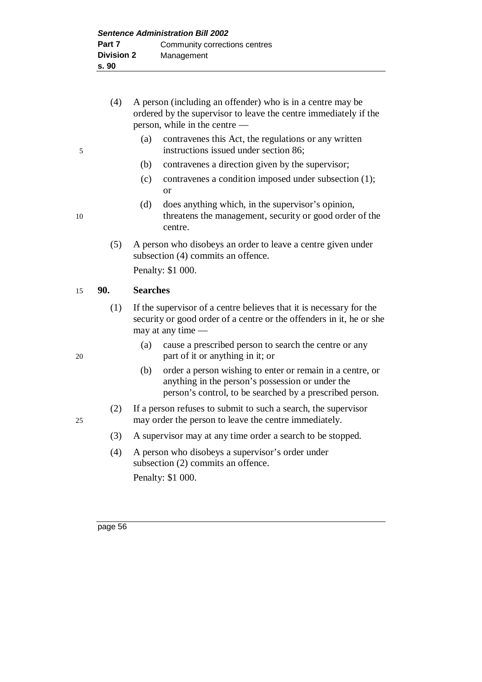|    | (4) | A person (including an offender) who is in a centre may be<br>ordered by the supervisor to leave the centre immediately if the<br>person, while in the centre —                  |
|----|-----|----------------------------------------------------------------------------------------------------------------------------------------------------------------------------------|
| 5  |     | (a)<br>contravenes this Act, the regulations or any written<br>instructions issued under section 86;                                                                             |
|    |     | (b)<br>contravenes a direction given by the supervisor;                                                                                                                          |
|    |     | contravenes a condition imposed under subsection (1);<br>(c)<br><b>or</b>                                                                                                        |
| 10 |     | (d)<br>does anything which, in the supervisor's opinion,<br>threatens the management, security or good order of the<br>centre.                                                   |
|    | (5) | A person who disobeys an order to leave a centre given under<br>subsection (4) commits an offence.                                                                               |
|    |     | Penalty: \$1 000.                                                                                                                                                                |
| 15 | 90. | <b>Searches</b>                                                                                                                                                                  |
|    | (1) | If the supervisor of a centre believes that it is necessary for the<br>security or good order of a centre or the offenders in it, he or she<br>may at any time $-$               |
| 20 |     | cause a prescribed person to search the centre or any<br>(a)<br>part of it or anything in it; or                                                                                 |
|    |     | (b)<br>order a person wishing to enter or remain in a centre, or<br>anything in the person's possession or under the<br>person's control, to be searched by a prescribed person. |
| 25 | (2) | If a person refuses to submit to such a search, the supervisor<br>may order the person to leave the centre immediately.                                                          |
|    | (3) | A supervisor may at any time order a search to be stopped.                                                                                                                       |
|    | (4) | A person who disobeys a supervisor's order under<br>subsection (2) commits an offence.                                                                                           |
|    |     | Penalty: \$1 000.                                                                                                                                                                |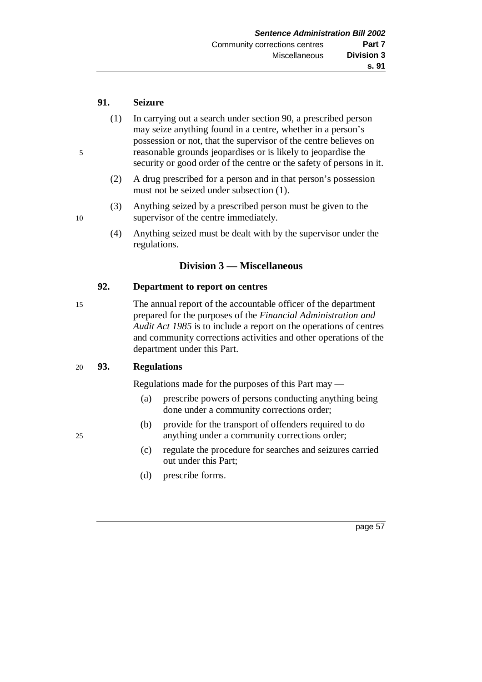#### **91. Seizure**

- (1) In carrying out a search under section 90, a prescribed person may seize anything found in a centre, whether in a person's possession or not, that the supervisor of the centre believes on 5 reasonable grounds jeopardises or is likely to jeopardise the security or good order of the centre or the safety of persons in it.
	- (2) A drug prescribed for a person and in that person's possession must not be seized under subsection (1).
- (3) Anything seized by a prescribed person must be given to the 10 supervisor of the centre immediately.
	- (4) Anything seized must be dealt with by the supervisor under the regulations.

### **Division 3 — Miscellaneous**

#### **92. Department to report on centres**

15 The annual report of the accountable officer of the department prepared for the purposes of the *Financial Administration and Audit Act 1985* is to include a report on the operations of centres and community corrections activities and other operations of the department under this Part.

#### 20 **93. Regulations**

Regulations made for the purposes of this Part may —

- (a) prescribe powers of persons conducting anything being done under a community corrections order;
- (b) provide for the transport of offenders required to do 25 anything under a community corrections order;
	- (c) regulate the procedure for searches and seizures carried out under this Part;
	- (d) prescribe forms.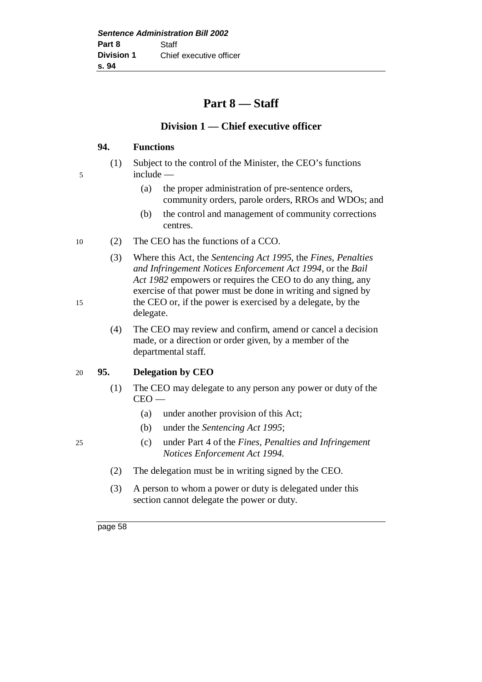# **Part 8 — Staff**

## **Division 1 — Chief executive officer**

### **94. Functions**

- (1) Subject to the control of the Minister, the CEO's functions 5 include —
	- (a) the proper administration of pre-sentence orders, community orders, parole orders, RROs and WDOs; and
	- (b) the control and management of community corrections centres.
- 10 (2) The CEO has the functions of a CCO.
- (3) Where this Act, the *Sentencing Act 1995*, the *Fines, Penalties and Infringement Notices Enforcement Act 1994*, or the *Bail Act 1982* empowers or requires the CEO to do any thing, any exercise of that power must be done in writing and signed by 15 the CEO or, if the power is exercised by a delegate, by the delegate.
	- (4) The CEO may review and confirm, amend or cancel a decision made, or a direction or order given, by a member of the departmental staff.

### 20 **95. Delegation by CEO**

- (1) The CEO may delegate to any person any power or duty of the CEO —
	- (a) under another provision of this Act;
	- (b) under the *Sentencing Act 1995*;
- 25 (c) under Part 4 of the *Fines, Penalties and Infringement Notices Enforcement Act 1994*.
	- (2) The delegation must be in writing signed by the CEO.
	- (3) A person to whom a power or duty is delegated under this section cannot delegate the power or duty.

- 
-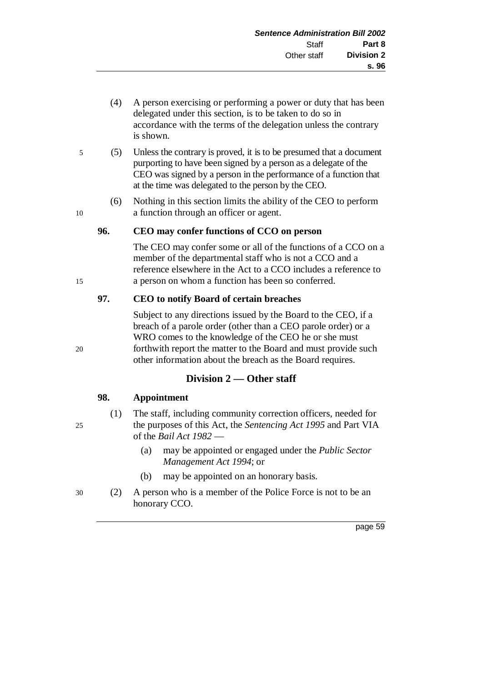- (4) A person exercising or performing a power or duty that has been delegated under this section, is to be taken to do so in accordance with the terms of the delegation unless the contrary is shown.
- 5 (5) Unless the contrary is proved, it is to be presumed that a document purporting to have been signed by a person as a delegate of the CEO was signed by a person in the performance of a function that at the time was delegated to the person by the CEO.
- (6) Nothing in this section limits the ability of the CEO to perform 10 a function through an officer or agent.

### **96. CEO may confer functions of CCO on person**

The CEO may confer some or all of the functions of a CCO on a member of the departmental staff who is not a CCO and a reference elsewhere in the Act to a CCO includes a reference to 15 a person on whom a function has been so conferred.

### **97. CEO to notify Board of certain breaches**

Subject to any directions issued by the Board to the CEO, if a breach of a parole order (other than a CEO parole order) or a WRO comes to the knowledge of the CEO he or she must 20 forthwith report the matter to the Board and must provide such other information about the breach as the Board requires.

### **Division 2 — Other staff**

#### **98. Appointment**

- (1) The staff, including community correction officers, needed for 25 the purposes of this Act, the *Sentencing Act 1995* and Part VIA of the *Bail Act 1982* —
	- (a) may be appointed or engaged under the *Public Sector Management Act 1994*; or
	- (b) may be appointed on an honorary basis.
- 30 (2) A person who is a member of the Police Force is not to be an honorary CCO.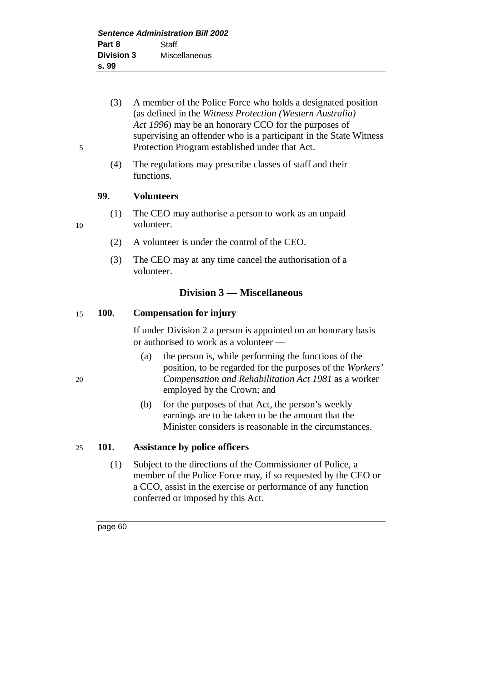- (3) A member of the Police Force who holds a designated position (as defined in the *Witness Protection (Western Australia) Act 1996*) may be an honorary CCO for the purposes of supervising an offender who is a participant in the State Witness 5 Protection Program established under that Act.
	- (4) The regulations may prescribe classes of staff and their functions.

#### **99. Volunteers**

(1) The CEO may authorise a person to work as an unpaid 10 volunteer.

- (2) A volunteer is under the control of the CEO.
- (3) The CEO may at any time cancel the authorisation of a volunteer.

## **Division 3 — Miscellaneous**

#### 15 **100. Compensation for injury**

If under Division 2 a person is appointed on an honorary basis or authorised to work as a volunteer —

- (a) the person is, while performing the functions of the position, to be regarded for the purposes of the *Workers'* 20 *Compensation and Rehabilitation Act 1981* as a worker employed by the Crown; and
	- (b) for the purposes of that Act, the person's weekly earnings are to be taken to be the amount that the Minister considers is reasonable in the circumstances.

#### 25 **101. Assistance by police officers**

(1) Subject to the directions of the Commissioner of Police, a member of the Police Force may, if so requested by the CEO or a CCO, assist in the exercise or performance of any function conferred or imposed by this Act.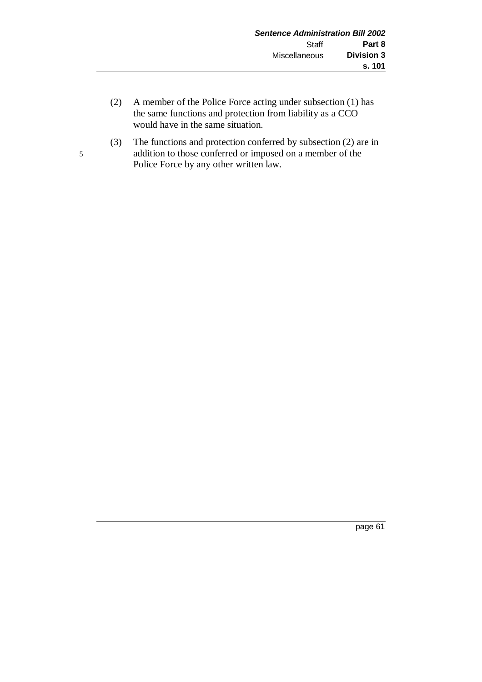- (2) A member of the Police Force acting under subsection (1) has the same functions and protection from liability as a CCO would have in the same situation.
- (3) The functions and protection conferred by subsection (2) are in 5 addition to those conferred or imposed on a member of the Police Force by any other written law.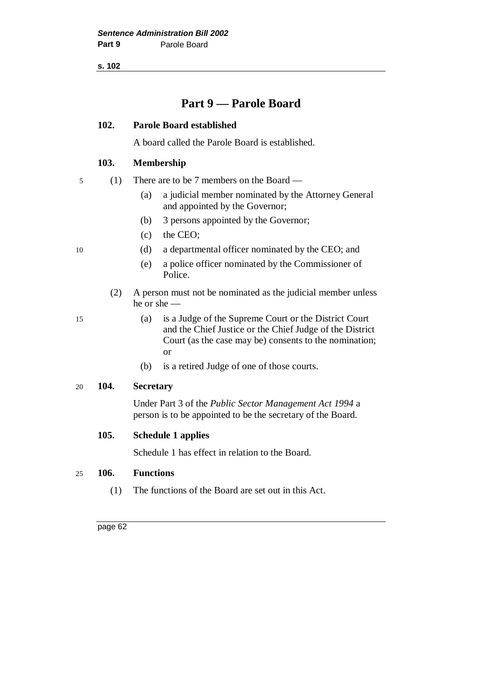**s. 102**

# **Part 9 — Parole Board**

### **102. Parole Board established**

A board called the Parole Board is established.

### **103. Membership**

|  |  | (1) There are to be 7 members on the Board $-$ |
|--|--|------------------------------------------------|
|--|--|------------------------------------------------|

- (a) a judicial member nominated by the Attorney General and appointed by the Governor;
- (b) 3 persons appointed by the Governor;
- (c) the CEO;
- 10 (d) a departmental officer nominated by the CEO; and
	- (e) a police officer nominated by the Commissioner of Police.
	- (2) A person must not be nominated as the judicial member unless he or she —
- 15 (a) is a Judge of the Supreme Court or the District Court and the Chief Justice or the Chief Judge of the District Court (as the case may be) consents to the nomination; or
	- (b) is a retired Judge of one of those courts.

### 20 **104. Secretary**

Under Part 3 of the *Public Sector Management Act 1994* a person is to be appointed to be the secretary of the Board.

#### **105. Schedule 1 applies**

Schedule 1 has effect in relation to the Board.

#### 25 **106. Functions**

(1) The functions of the Board are set out in this Act.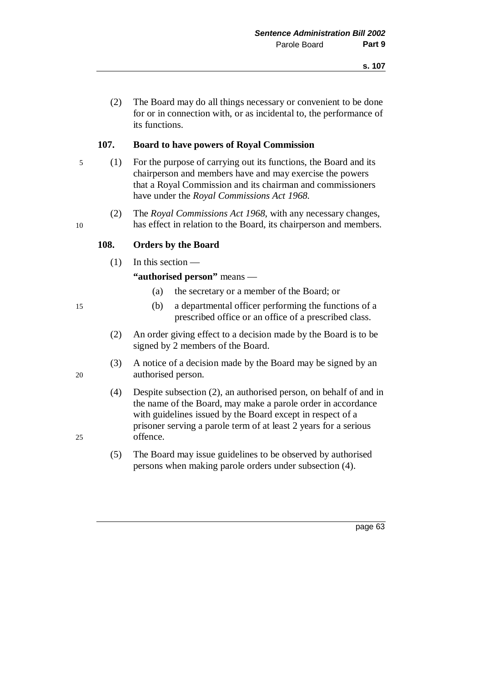(2) The Board may do all things necessary or convenient to be done for or in connection with, or as incidental to, the performance of its functions.

### **107. Board to have powers of Royal Commission**

- 5 (1) For the purpose of carrying out its functions, the Board and its chairperson and members have and may exercise the powers that a Royal Commission and its chairman and commissioners have under the *Royal Commissions Act 1968*.
- (2) The *Royal Commissions Act 1968*, with any necessary changes, 10 has effect in relation to the Board, its chairperson and members.

### **108. Orders by the Board**

(1) In this section —

**"authorised person"** means —

- (a) the secretary or a member of the Board; or
- 15 (b) a departmental officer performing the functions of a prescribed office or an office of a prescribed class.
	- (2) An order giving effect to a decision made by the Board is to be signed by 2 members of the Board.
- (3) A notice of a decision made by the Board may be signed by an 20 authorised person.
- (4) Despite subsection (2), an authorised person, on behalf of and in the name of the Board, may make a parole order in accordance with guidelines issued by the Board except in respect of a prisoner serving a parole term of at least 2 years for a serious 25 offence.
	- (5) The Board may issue guidelines to be observed by authorised persons when making parole orders under subsection (4).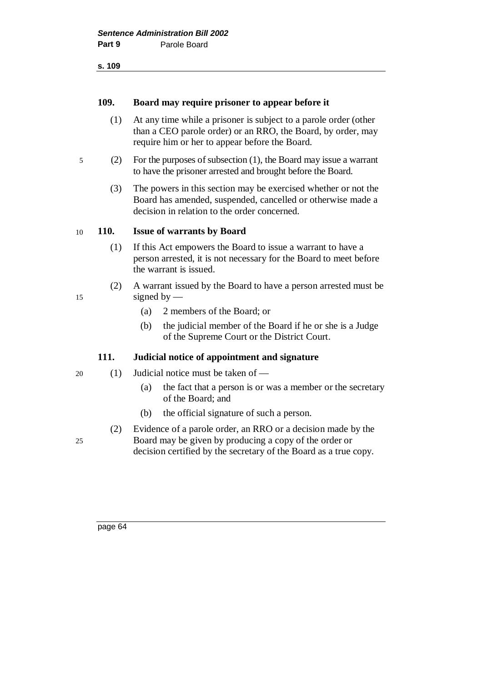#### **109. Board may require prisoner to appear before it**

- (1) At any time while a prisoner is subject to a parole order (other than a CEO parole order) or an RRO, the Board, by order, may require him or her to appear before the Board.
- 5 (2) For the purposes of subsection (1), the Board may issue a warrant to have the prisoner arrested and brought before the Board.
	- (3) The powers in this section may be exercised whether or not the Board has amended, suspended, cancelled or otherwise made a decision in relation to the order concerned.

#### 10 **110. Issue of warrants by Board**

- (1) If this Act empowers the Board to issue a warrant to have a person arrested, it is not necessary for the Board to meet before the warrant is issued.
- (2) A warrant issued by the Board to have a person arrested must be 15 signed by —
	- (a) 2 members of the Board; or
	- (b) the judicial member of the Board if he or she is a Judge of the Supreme Court or the District Court.

#### **111. Judicial notice of appointment and signature**

- 20 (1) Judicial notice must be taken of
	- (a) the fact that a person is or was a member or the secretary of the Board; and
	- (b) the official signature of such a person.
- (2) Evidence of a parole order, an RRO or a decision made by the 25 Board may be given by producing a copy of the order or decision certified by the secretary of the Board as a true copy.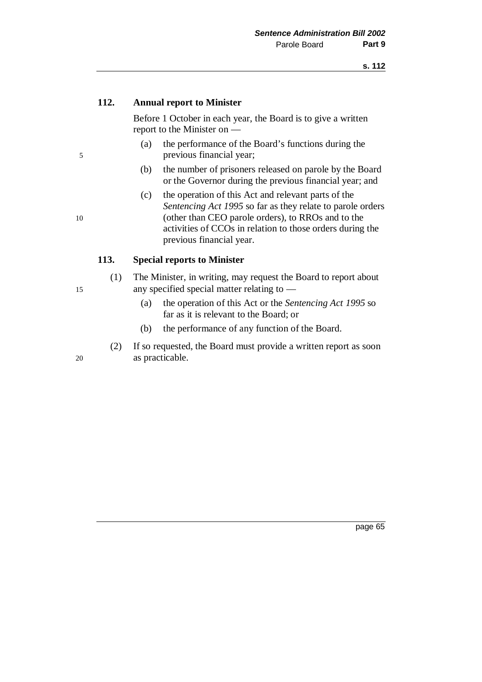### **112. Annual report to Minister**

Before 1 October in each year, the Board is to give a written report to the Minister on —

- (a) the performance of the Board's functions during the 5 previous financial year;
	- (b) the number of prisoners released on parole by the Board or the Governor during the previous financial year; and
- (c) the operation of this Act and relevant parts of the *Sentencing Act 1995* so far as they relate to parole orders 10 (other than CEO parole orders), to RROs and to the activities of CCOs in relation to those orders during the previous financial year.

#### **113. Special reports to Minister**

- (1) The Minister, in writing, may request the Board to report about 15 any specified special matter relating to —
	- (a) the operation of this Act or the *Sentencing Act 1995* so far as it is relevant to the Board; or
	- (b) the performance of any function of the Board.
- (2) If so requested, the Board must provide a written report as soon 20 as practicable.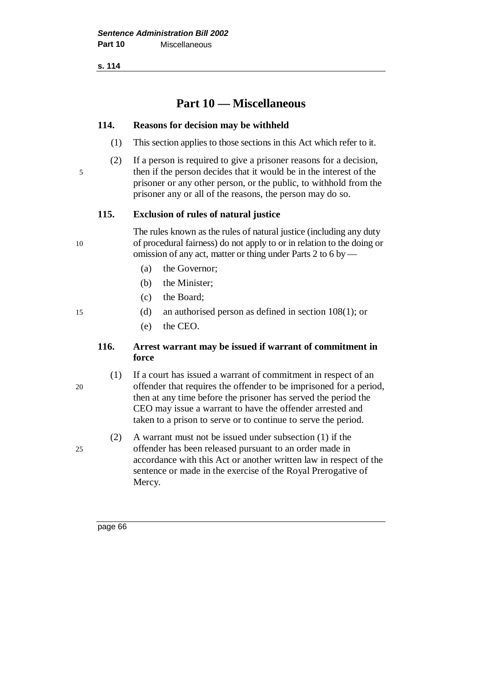**s. 114**

# **Part 10 — Miscellaneous**

#### **114. Reasons for decision may be withheld**

- (1) This section applies to those sections in this Act which refer to it.
- (2) If a person is required to give a prisoner reasons for a decision,
- 5 then if the person decides that it would be in the interest of the prisoner or any other person, or the public, to withhold from the prisoner any or all of the reasons, the person may do so.

### **115. Exclusion of rules of natural justice**

The rules known as the rules of natural justice (including any duty 10 of procedural fairness) do not apply to or in relation to the doing or omission of any act, matter or thing under Parts 2 to 6 by —

- (a) the Governor;
- (b) the Minister;
- (c) the Board;
- 15 (d) an authorised person as defined in section 108(1); or
	- (e) the CEO.

### **116. Arrest warrant may be issued if warrant of commitment in force**

(1) If a court has issued a warrant of commitment in respect of an 20 offender that requires the offender to be imprisoned for a period, then at any time before the prisoner has served the period the CEO may issue a warrant to have the offender arrested and taken to a prison to serve or to continue to serve the period.

(2) A warrant must not be issued under subsection (1) if the 25 offender has been released pursuant to an order made in accordance with this Act or another written law in respect of the sentence or made in the exercise of the Royal Prerogative of Mercy.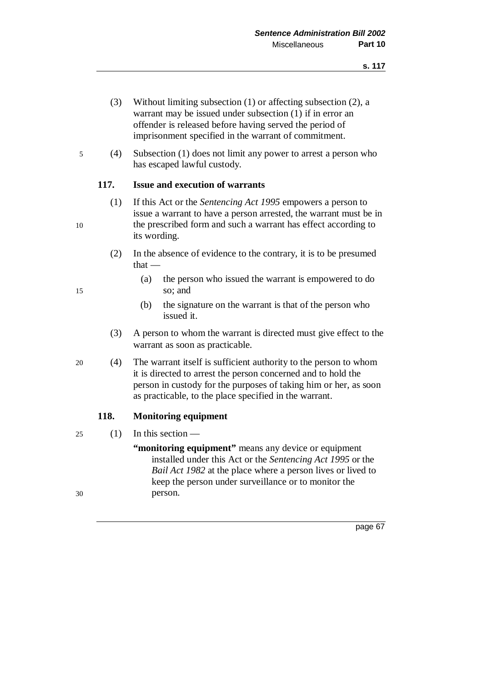- (3) Without limiting subsection (1) or affecting subsection (2), a warrant may be issued under subsection (1) if in error an offender is released before having served the period of imprisonment specified in the warrant of commitment.
- 5 (4) Subsection (1) does not limit any power to arrest a person who has escaped lawful custody.

## **117. Issue and execution of warrants**

- (1) If this Act or the *Sentencing Act 1995* empowers a person to issue a warrant to have a person arrested, the warrant must be in 10 the prescribed form and such a warrant has effect according to its wording.
	- (2) In the absence of evidence to the contrary, it is to be presumed that —
- (a) the person who issued the warrant is empowered to do 15 so; and
	- (b) the signature on the warrant is that of the person who issued it.
	- (3) A person to whom the warrant is directed must give effect to the warrant as soon as practicable.
- 20 (4) The warrant itself is sufficient authority to the person to whom it is directed to arrest the person concerned and to hold the person in custody for the purposes of taking him or her, as soon as practicable, to the place specified in the warrant.

## **118. Monitoring equipment**

25 (1) In this section —

**"monitoring equipment"** means any device or equipment installed under this Act or the *Sentencing Act 1995* or the *Bail Act 1982* at the place where a person lives or lived to keep the person under surveillance or to monitor the 30 person.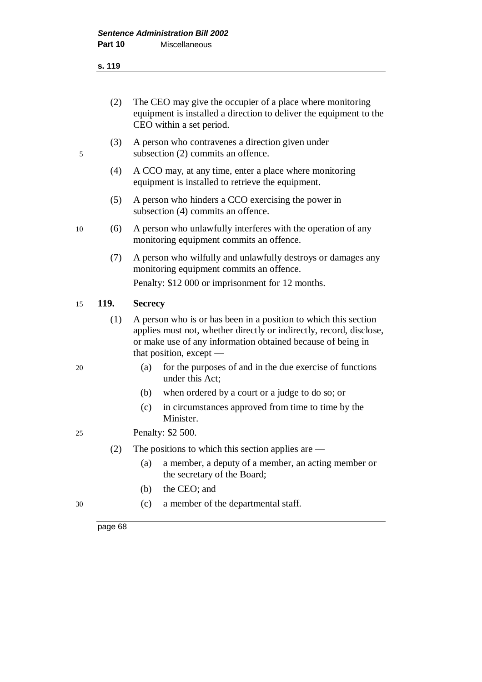#### **s. 119**

|      | The CEO may give the occupier of a place where monitoring<br>equipment is installed a direction to deliver the equipment to the                                 |
|------|-----------------------------------------------------------------------------------------------------------------------------------------------------------------|
|      | CEO within a set period.                                                                                                                                        |
| (3)  | A person who contravenes a direction given under<br>subsection (2) commits an offence.                                                                          |
| (4)  | A CCO may, at any time, enter a place where monitoring<br>equipment is installed to retrieve the equipment.                                                     |
| (5)  | A person who hinders a CCO exercising the power in<br>subsection (4) commits an offence.                                                                        |
| (6)  | A person who unlawfully interferes with the operation of any<br>monitoring equipment commits an offence.                                                        |
| (7)  | A person who wilfully and unlawfully destroys or damages any<br>monitoring equipment commits an offence.                                                        |
|      | Penalty: \$12 000 or imprisonment for 12 months.                                                                                                                |
| 119. | <b>Secrecy</b>                                                                                                                                                  |
| (1)  | A person who is or has been in a position to which this section                                                                                                 |
|      | applies must not, whether directly or indirectly, record, disclose,<br>or make use of any information obtained because of being in<br>that position, except $-$ |
|      | for the purposes of and in the due exercise of functions<br>(a)<br>under this Act;                                                                              |
|      | when ordered by a court or a judge to do so; or<br>(b)                                                                                                          |
|      | in circumstances approved from time to time by the<br>(c)<br>Minister.                                                                                          |
|      | Penalty: \$2 500.                                                                                                                                               |
| (2)  | The positions to which this section applies are $-$                                                                                                             |
|      | (a)<br>a member, a deputy of a member, an acting member or<br>the secretary of the Board;                                                                       |
|      | the CEO; and<br>(b)                                                                                                                                             |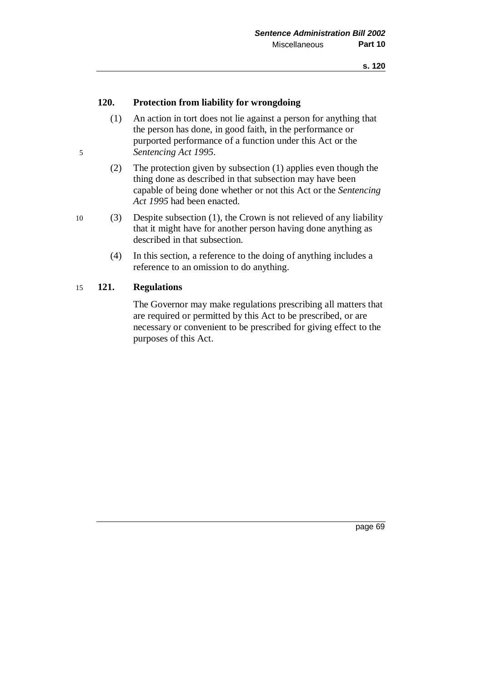## **120. Protection from liability for wrongdoing**

- (1) An action in tort does not lie against a person for anything that the person has done, in good faith, in the performance or purported performance of a function under this Act or the 5 *Sentencing Act 1995*.
	- (2) The protection given by subsection (1) applies even though the thing done as described in that subsection may have been capable of being done whether or not this Act or the *Sentencing Act 1995* had been enacted.
- 10 (3) Despite subsection (1), the Crown is not relieved of any liability that it might have for another person having done anything as described in that subsection.
	- (4) In this section, a reference to the doing of anything includes a reference to an omission to do anything.

## 15 **121. Regulations**

The Governor may make regulations prescribing all matters that are required or permitted by this Act to be prescribed, or are necessary or convenient to be prescribed for giving effect to the purposes of this Act.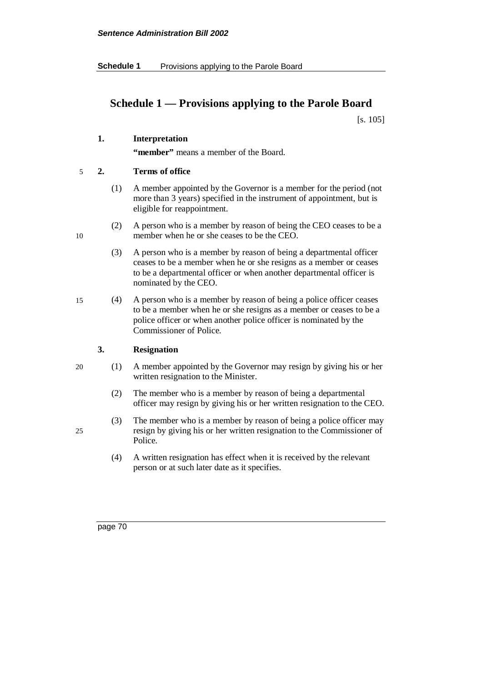# **Schedule 1 — Provisions applying to the Parole Board**

[s. 105]

## **1. Interpretation**

**"member"** means a member of the Board.

#### 5 **2. Terms of office**

- (1) A member appointed by the Governor is a member for the period (not more than 3 years) specified in the instrument of appointment, but is eligible for reappointment.
- (2) A person who is a member by reason of being the CEO ceases to be a 10 member when he or she ceases to be the CEO.
	- (3) A person who is a member by reason of being a departmental officer ceases to be a member when he or she resigns as a member or ceases to be a departmental officer or when another departmental officer is nominated by the CEO.
- 15 (4) A person who is a member by reason of being a police officer ceases to be a member when he or she resigns as a member or ceases to be a police officer or when another police officer is nominated by the Commissioner of Police.

## **3. Resignation**

- 20 (1) A member appointed by the Governor may resign by giving his or her written resignation to the Minister.
	- (2) The member who is a member by reason of being a departmental officer may resign by giving his or her written resignation to the CEO.
- (3) The member who is a member by reason of being a police officer may 25 resign by giving his or her written resignation to the Commissioner of Police.
	- (4) A written resignation has effect when it is received by the relevant person or at such later date as it specifies.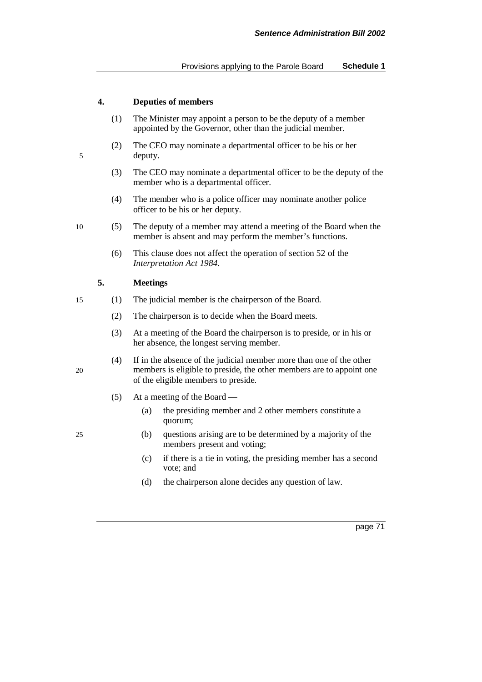#### **4. Deputies of members**

- (1) The Minister may appoint a person to be the deputy of a member appointed by the Governor, other than the judicial member.
- (2) The CEO may nominate a departmental officer to be his or her 5 deputy.
	- (3) The CEO may nominate a departmental officer to be the deputy of the member who is a departmental officer.
	- (4) The member who is a police officer may nominate another police officer to be his or her deputy.
- 10 (5) The deputy of a member may attend a meeting of the Board when the member is absent and may perform the member's functions.
	- (6) This clause does not affect the operation of section 52 of the *Interpretation Act 1984*.

#### **5. Meetings**

- 15 (1) The judicial member is the chairperson of the Board.
	- (2) The chairperson is to decide when the Board meets.
	- (3) At a meeting of the Board the chairperson is to preside, or in his or her absence, the longest serving member.
- (4) If in the absence of the judicial member more than one of the other 20 members is eligible to preside, the other members are to appoint one of the eligible members to preside.
	- (5) At a meeting of the Board
		- (a) the presiding member and 2 other members constitute a quorum;
- 25 (b) questions arising are to be determined by a majority of the members present and voting;
	- (c) if there is a tie in voting, the presiding member has a second vote; and
	- (d) the chairperson alone decides any question of law.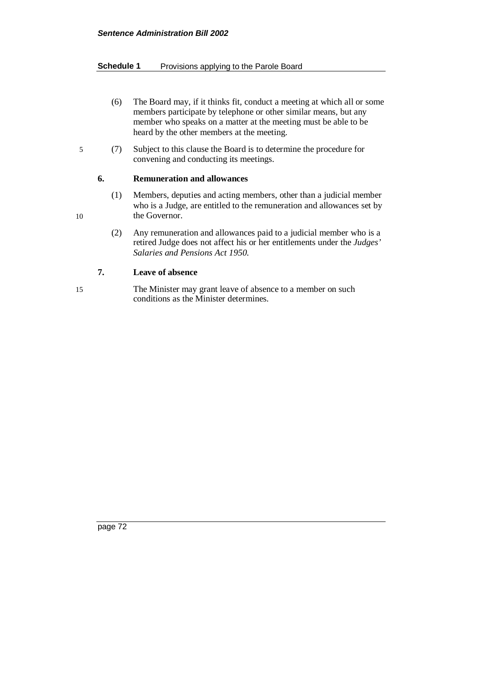#### **Schedule 1** Provisions applying to the Parole Board

- (6) The Board may, if it thinks fit, conduct a meeting at which all or some members participate by telephone or other similar means, but any member who speaks on a matter at the meeting must be able to be heard by the other members at the meeting.
- 5 (7) Subject to this clause the Board is to determine the procedure for convening and conducting its meetings.

#### **6. Remuneration and allowances**

- (1) Members, deputies and acting members, other than a judicial member who is a Judge, are entitled to the remuneration and allowances set by 10 the Governor.
	- (2) Any remuneration and allowances paid to a judicial member who is a retired Judge does not affect his or her entitlements under the *Judges' Salaries and Pensions Act 1950*.

## **7. Leave of absence**

15 The Minister may grant leave of absence to a member on such conditions as the Minister determines.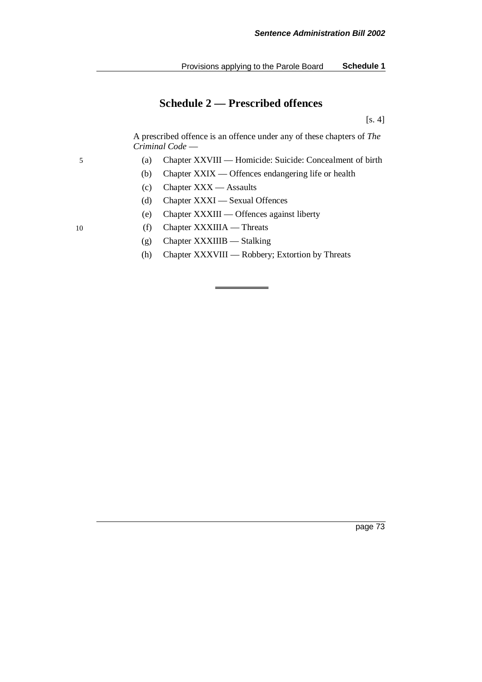## **Schedule 2 — Prescribed offences**

[s. 4]

A prescribed offence is an offence under any of these chapters of *The Criminal Code* —

- 5 (a) Chapter XXVIII Homicide: Suicide: Concealment of birth
	- (b) Chapter XXIX Offences endangering life or health
	- (c) Chapter XXX Assaults
	- (d) Chapter XXXI Sexual Offences
	- (e) Chapter XXXIII Offences against liberty
- 10 (f) Chapter XXXIIIA Threats
	- (g) Chapter XXXIIIB Stalking
	- (h) Chapter XXXVIII Robbery; Extortion by Threats